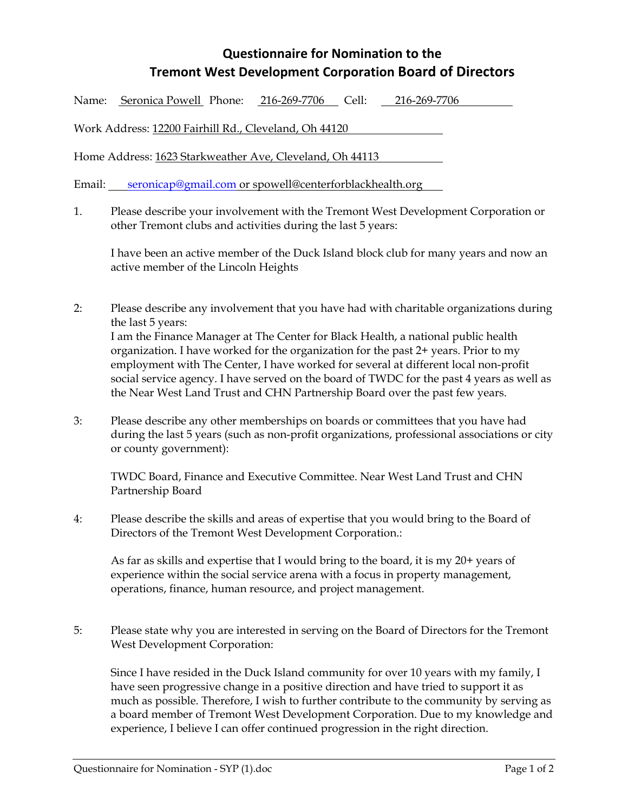## **Questionnaire for Nomination to the Tremont West Development Corporation Board of Directors**

Name: Seronica Powell Phone: 216-269-7706 Cell: 216-269-7706

Work Address: 12200 Fairhill Rd., Cleveland, Oh 44120

Home Address: 1623 Starkweather Ave, Cleveland, Oh 44113

Email: seronicap@gmail.com or spowell@centerforblackhealth.org

1. Please describe your involvement with the Tremont West Development Corporation or other Tremont clubs and activities during the last 5 years:

I have been an active member of the Duck Island block club for many years and now an active member of the Lincoln Heights

- 2: Please describe any involvement that you have had with charitable organizations during the last 5 years: I am the Finance Manager at The Center for Black Health, a national public health organization. I have worked for the organization for the past 2+ years. Prior to my employment with The Center, I have worked for several at different local non-profit social service agency. I have served on the board of TWDC for the past 4 years as well as the Near West Land Trust and CHN Partnership Board over the past few years.
- 3: Please describe any other memberships on boards or committees that you have had during the last 5 years (such as non-profit organizations, professional associations or city or county government):

TWDC Board, Finance and Executive Committee. Near West Land Trust and CHN Partnership Board

4: Please describe the skills and areas of expertise that you would bring to the Board of Directors of the Tremont West Development Corporation.:

As far as skills and expertise that I would bring to the board, it is my 20+ years of experience within the social service arena with a focus in property management, operations, finance, human resource, and project management.

5: Please state why you are interested in serving on the Board of Directors for the Tremont West Development Corporation:

Since I have resided in the Duck Island community for over 10 years with my family, I have seen progressive change in a positive direction and have tried to support it as much as possible. Therefore, I wish to further contribute to the community by serving as a board member of Tremont West Development Corporation. Due to my knowledge and experience, I believe I can offer continued progression in the right direction.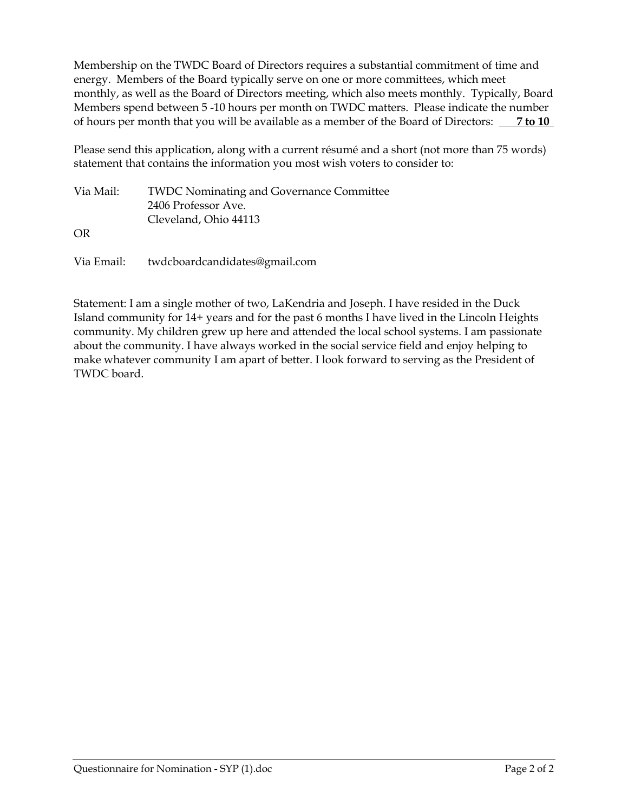Membership on the TWDC Board of Directors requires a substantial commitment of time and energy. Members of the Board typically serve on one or more committees, which meet monthly, as well as the Board of Directors meeting, which also meets monthly. Typically, Board Members spend between 5 -10 hours per month on TWDC matters. Please indicate the number of hours per month that you will be available as a member of the Board of Directors: **7 to 10** 

Please send this application, along with a current résumé and a short (not more than 75 words) statement that contains the information you most wish voters to consider to:

| Via Mail: | <b>TWDC Nominating and Governance Committee</b> |
|-----------|-------------------------------------------------|
|           | 2406 Professor Ave.                             |
|           | Cleveland, Ohio 44113                           |
| OR        |                                                 |
|           |                                                 |

Via Email: twdcboardcandidates@gmail.com

Statement: I am a single mother of two, LaKendria and Joseph. I have resided in the Duck Island community for 14+ years and for the past 6 months I have lived in the Lincoln Heights community. My children grew up here and attended the local school systems. I am passionate about the community. I have always worked in the social service field and enjoy helping to make whatever community I am apart of better. I look forward to serving as the President of TWDC board.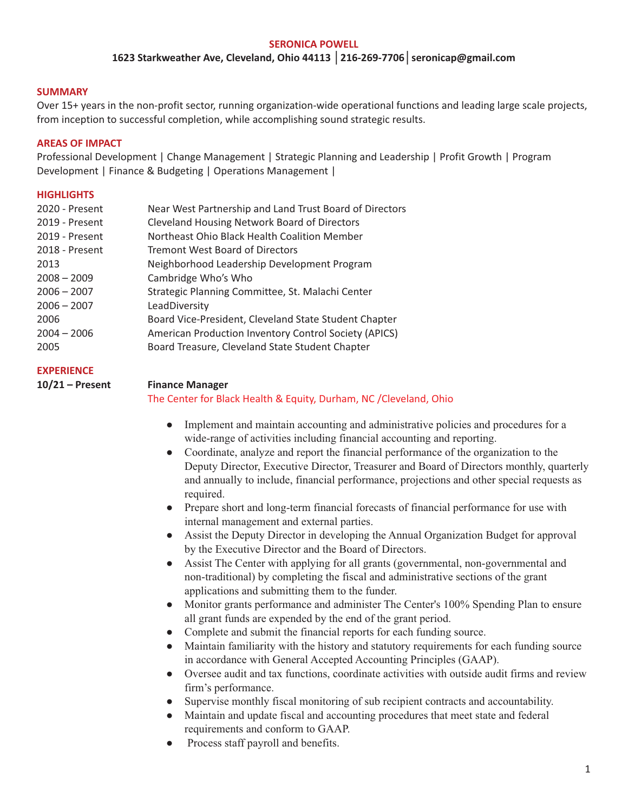#### **SERONICA POWELL 1623 Starkweather Ave, Cleveland, Ohio 44113 │216-269-7706│seronicap@gmail.com**

#### **SUMMARY**

Over 15+ years in the non-profit sector, running organization-wide operational functions and leading large scale projects, from inception to successful completion, while accomplishing sound strategic results.

#### **AREAS OF IMPACT**

Professional Development | Change Management | Strategic Planning and Leadership | Profit Growth | Program Development | Finance & Budgeting | Operations Management |

#### **HIGHLIGHTS**

| 2020 - Present | Near West Partnership and Land Trust Board of Directors |
|----------------|---------------------------------------------------------|
| 2019 - Present | <b>Cleveland Housing Network Board of Directors</b>     |
| 2019 - Present | Northeast Ohio Black Health Coalition Member            |
| 2018 - Present | <b>Tremont West Board of Directors</b>                  |
| 2013           | Neighborhood Leadership Development Program             |
| $2008 - 2009$  | Cambridge Who's Who                                     |
| $2006 - 2007$  | Strategic Planning Committee, St. Malachi Center        |
| $2006 - 2007$  | LeadDiversity                                           |
| 2006           | Board Vice-President, Cleveland State Student Chapter   |
| $2004 - 2006$  | American Production Inventory Control Society (APICS)   |
| 2005           | Board Treasure, Cleveland State Student Chapter         |
|                |                                                         |

#### **EXPERIENCE**

#### **10/21 – Present Finance Manager**

#### The Center for Black Health & Equity, Durham, NC /Cleveland, Ohio

- Implement and maintain accounting and administrative policies and procedures for a wide-range of activities including financial accounting and reporting.
- Coordinate, analyze and report the financial performance of the organization to the Deputy Director, Executive Director, Treasurer and Board of Directors monthly, quarterly and annually to include, financial performance, projections and other special requests as required.
- Prepare short and long-term financial forecasts of financial performance for use with internal management and external parties.
- Assist the Deputy Director in developing the Annual Organization Budget for approval by the Executive Director and the Board of Directors.
- Assist The Center with applying for all grants (governmental, non-governmental and non-traditional) by completing the fiscal and administrative sections of the grant applications and submitting them to the funder.
- Monitor grants performance and administer The Center's 100% Spending Plan to ensure all grant funds are expended by the end of the grant period.
- Complete and submit the financial reports for each funding source.
- Maintain familiarity with the history and statutory requirements for each funding source in accordance with General Accepted Accounting Principles (GAAP).
- Oversee audit and tax functions, coordinate activities with outside audit firms and review firm's performance.
- Supervise monthly fiscal monitoring of sub recipient contracts and accountability.
- Maintain and update fiscal and accounting procedures that meet state and federal requirements and conform to GAAP.
- Process staff payroll and benefits.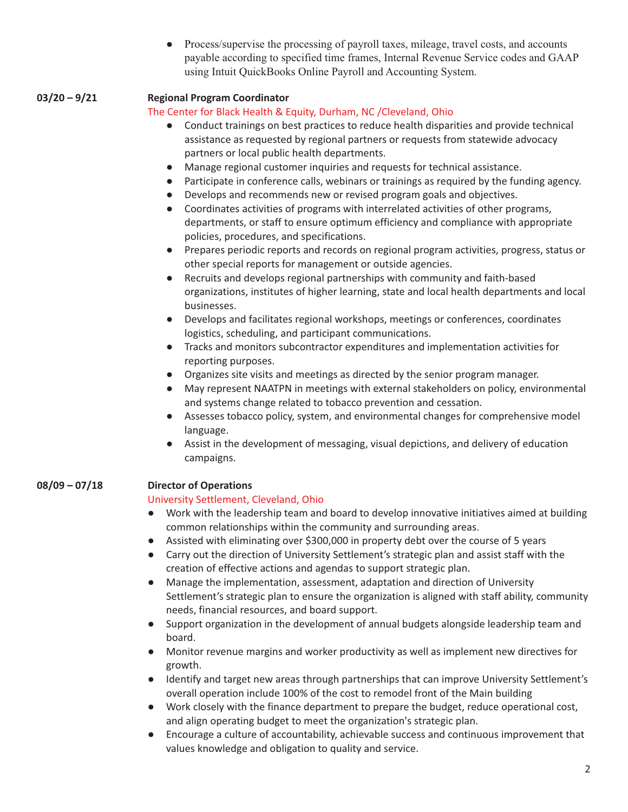• Process/supervise the processing of payroll taxes, mileage, travel costs, and accounts payable according to specified time frames, Internal Revenue Service codes and GAAP using Intuit QuickBooks Online Payroll and Accounting System.

#### **03/20 – 9/21 Regional Program Coordinator**

#### The Center for Black Health & Equity, Durham, NC /Cleveland, Ohio

- Conduct trainings on best practices to reduce health disparities and provide technical assistance as requested by regional partners or requests from statewide advocacy partners or local public health departments.
- Manage regional customer inquiries and requests for technical assistance.
- Participate in conference calls, webinars or trainings as required by the funding agency.
- Develops and recommends new or revised program goals and objectives.
- Coordinates activities of programs with interrelated activities of other programs, departments, or staff to ensure optimum efficiency and compliance with appropriate policies, procedures, and specifications.
- Prepares periodic reports and records on regional program activities, progress, status or other special reports for management or outside agencies.
- Recruits and develops regional partnerships with community and faith-based organizations, institutes of higher learning, state and local health departments and local businesses.
- Develops and facilitates regional workshops, meetings or conferences, coordinates logistics, scheduling, and participant communications.
- Tracks and monitors subcontractor expenditures and implementation activities for reporting purposes.
- Organizes site visits and meetings as directed by the senior program manager.
- May represent NAATPN in meetings with external stakeholders on policy, environmental and systems change related to tobacco prevention and cessation.
- Assesses tobacco policy, system, and environmental changes for comprehensive model language.
- Assist in the development of messaging, visual depictions, and delivery of education campaigns.

#### **08/09 – 07/18 Director of Operations**

#### University Settlement, Cleveland, Ohio

- Work with the leadership team and board to develop innovative initiatives aimed at building common relationships within the community and surrounding areas.
- Assisted with eliminating over \$300,000 in property debt over the course of 5 years
- Carry out the direction of University Settlement's strategic plan and assist staff with the creation of effective actions and agendas to support strategic plan.
- Manage the implementation, assessment, adaptation and direction of University Settlement's strategic plan to ensure the organization is aligned with staff ability, community needs, financial resources, and board support.
- Support organization in the development of annual budgets alongside leadership team and board.
- Monitor revenue margins and worker productivity as well as implement new directives for growth.
- Identify and target new areas through partnerships that can improve University Settlement's overall operation include 100% of the cost to remodel front of the Main building
- Work closely with the finance department to prepare the budget, reduce operational cost, and align operating budget to meet the organization's strategic plan.
- Encourage a culture of accountability, achievable success and continuous improvement that values knowledge and obligation to quality and service.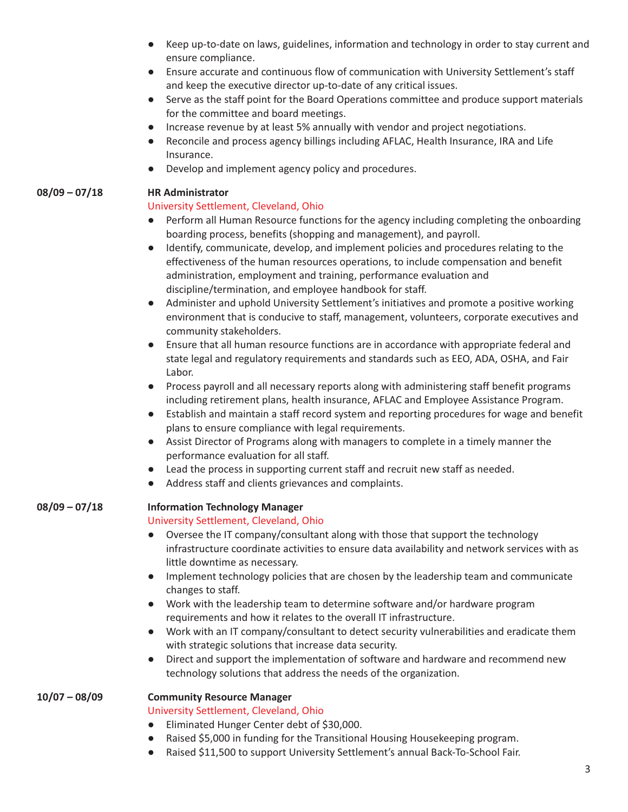- Keep up-to-date on laws, guidelines, information and technology in order to stay current and ensure compliance.
- Ensure accurate and continuous flow of communication with University Settlement's staff and keep the executive director up-to-date of any critical issues.
- Serve as the staff point for the Board Operations committee and produce support materials for the committee and board meetings.
- Increase revenue by at least 5% annually with vendor and project negotiations.
- Reconcile and process agency billings including AFLAC, Health Insurance, IRA and Life Insurance.
- Develop and implement agency policy and procedures.

#### **08/09 – 07/18 HR Administrator**

#### University Settlement, Cleveland, Ohio

- Perform all Human Resource functions for the agency including completing the onboarding boarding process, benefits (shopping and management), and payroll.
- Identify, communicate, develop, and implement policies and procedures relating to the effectiveness of the human resources operations, to include compensation and benefit administration, employment and training, performance evaluation and discipline/termination, and employee handbook for staff.
- Administer and uphold University Settlement's initiatives and promote a positive working environment that is conducive to staff, management, volunteers, corporate executives and community stakeholders.
- Ensure that all human resource functions are in accordance with appropriate federal and state legal and regulatory requirements and standards such as EEO, ADA, OSHA, and Fair Labor.
- Process payroll and all necessary reports along with administering staff benefit programs including retirement plans, health insurance, AFLAC and Employee Assistance Program.
- Establish and maintain a staff record system and reporting procedures for wage and benefit plans to ensure compliance with legal requirements.
- Assist Director of Programs along with managers to complete in a timely manner the performance evaluation for all staff.
- Lead the process in supporting current staff and recruit new staff as needed.
- Address staff and clients grievances and complaints.

#### **08/09 – 07/18 Information Technology Manager**

#### University Settlement, Cleveland, Ohio

- Oversee the IT company/consultant along with those that support the technology infrastructure coordinate activities to ensure data availability and network services with as little downtime as necessary.
- Implement technology policies that are chosen by the leadership team and communicate changes to staff.
- Work with the leadership team to determine software and/or hardware program requirements and how it relates to the overall IT infrastructure.
- Work with an IT company/consultant to detect security vulnerabilities and eradicate them with strategic solutions that increase data security.
- Direct and support the implementation of software and hardware and recommend new technology solutions that address the needs of the organization.

#### **10/07 – 08/09 Community Resource Manager**

#### University Settlement, Cleveland, Ohio

- Eliminated Hunger Center debt of \$30,000.
- Raised \$5,000 in funding for the Transitional Housing Housekeeping program.
- Raised \$11,500 to support University Settlement's annual Back-To-School Fair.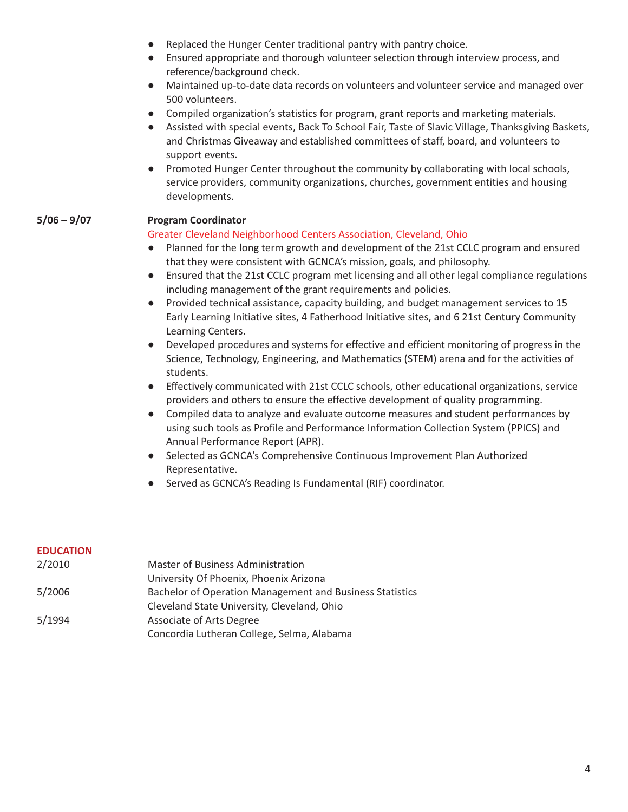- Replaced the Hunger Center traditional pantry with pantry choice.
- Ensured appropriate and thorough volunteer selection through interview process, and reference/background check.
- Maintained up-to-date data records on volunteers and volunteer service and managed over 500 volunteers.
- Compiled organization's statistics for program, grant reports and marketing materials.
- Assisted with special events, Back To School Fair, Taste of Slavic Village, Thanksgiving Baskets, and Christmas Giveaway and established committees of staff, board, and volunteers to support events.
- Promoted Hunger Center throughout the community by collaborating with local schools, service providers, community organizations, churches, government entities and housing developments.

#### **5/06 – 9/07 Program Coordinator**

#### Greater Cleveland Neighborhood Centers Association, Cleveland, Ohio

- Planned for the long term growth and development of the 21st CCLC program and ensured that they were consistent with GCNCA's mission, goals, and philosophy.
- Ensured that the 21st CCLC program met licensing and all other legal compliance regulations including management of the grant requirements and policies.
- Provided technical assistance, capacity building, and budget management services to 15 Early Learning Initiative sites, 4 Fatherhood Initiative sites, and 6 21st Century Community Learning Centers.
- Developed procedures and systems for effective and efficient monitoring of progress in the Science, Technology, Engineering, and Mathematics (STEM) arena and for the activities of students.
- Effectively communicated with 21st CCLC schools, other educational organizations, service providers and others to ensure the effective development of quality programming.
- Compiled data to analyze and evaluate outcome measures and student performances by using such tools as Profile and Performance Information Collection System (PPICS) and Annual Performance Report (APR).
- Selected as GCNCA's Comprehensive Continuous Improvement Plan Authorized Representative.
- Served as GCNCA's Reading Is Fundamental (RIF) coordinator.

#### **EDUCATION**

| 2/2010 | Master of Business Administration                               |
|--------|-----------------------------------------------------------------|
|        | University Of Phoenix, Phoenix Arizona                          |
| 5/2006 | <b>Bachelor of Operation Management and Business Statistics</b> |
|        | Cleveland State University, Cleveland, Ohio                     |
| 5/1994 | Associate of Arts Degree                                        |
|        | Concordia Lutheran College, Selma, Alabama                      |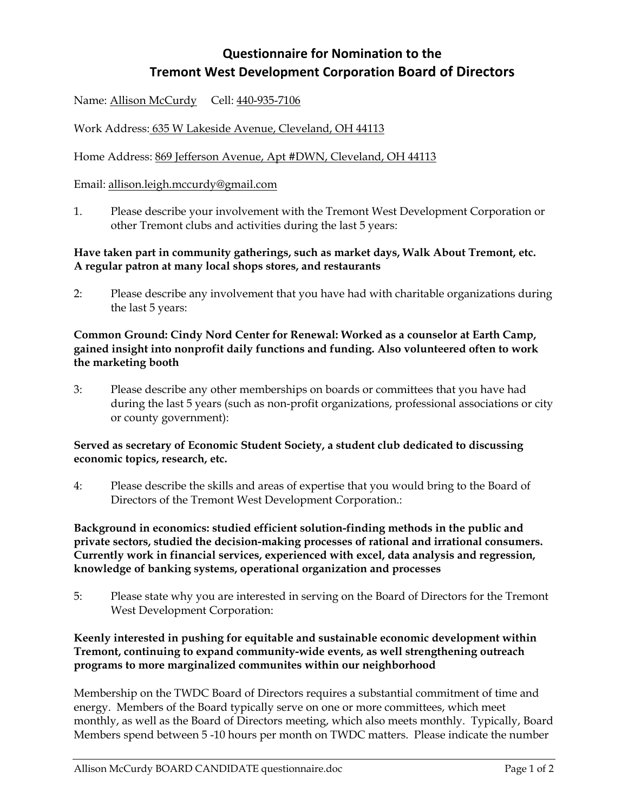## **Questionnaire for Nomination to the Tremont West Development Corporation Board of Directors**

Name: Allison McCurdy Cell: 440-935-7106

Work Address: 635 W Lakeside Avenue, Cleveland, OH 44113

Home Address: 869 Jefferson Avenue, Apt #DWN, Cleveland, OH 44113

#### Email: allison.leigh.mccurdy@gmail.com

1. Please describe your involvement with the Tremont West Development Corporation or other Tremont clubs and activities during the last 5 years:

#### **Have taken part in community gatherings, such as market days, Walk About Tremont, etc. A regular patron at many local shops stores, and restaurants**

2: Please describe any involvement that you have had with charitable organizations during the last 5 years:

#### **Common Ground: Cindy Nord Center for Renewal: Worked as a counselor at Earth Camp, gained insight into nonprofit daily functions and funding. Also volunteered often to work the marketing booth**

3: Please describe any other memberships on boards or committees that you have had during the last 5 years (such as non-profit organizations, professional associations or city or county government):

#### **Served as secretary of Economic Student Society, a student club dedicated to discussing economic topics, research, etc.**

4: Please describe the skills and areas of expertise that you would bring to the Board of Directors of the Tremont West Development Corporation.:

**Background in economics: studied efficient solution-finding methods in the public and private sectors, studied the decision-making processes of rational and irrational consumers. Currently work in financial services, experienced with excel, data analysis and regression, knowledge of banking systems, operational organization and processes** 

5: Please state why you are interested in serving on the Board of Directors for the Tremont West Development Corporation:

#### **Keenly interested in pushing for equitable and sustainable economic development within Tremont, continuing to expand community-wide events, as well strengthening outreach programs to more marginalized communites within our neighborhood**

Membership on the TWDC Board of Directors requires a substantial commitment of time and energy. Members of the Board typically serve on one or more committees, which meet monthly, as well as the Board of Directors meeting, which also meets monthly. Typically, Board Members spend between 5 -10 hours per month on TWDC matters. Please indicate the number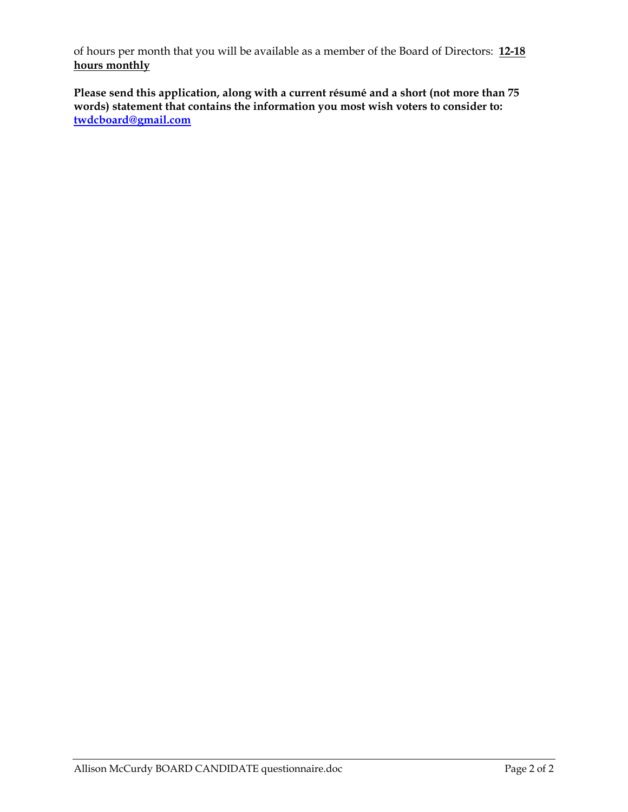of hours per month that you will be available as a member of the Board of Directors: **12-18 hours monthly**

**Please send this application, along with a current résumé and a short (not more than 75 words) statement that contains the information you most wish voters to consider to: twdcboard@gmail.com**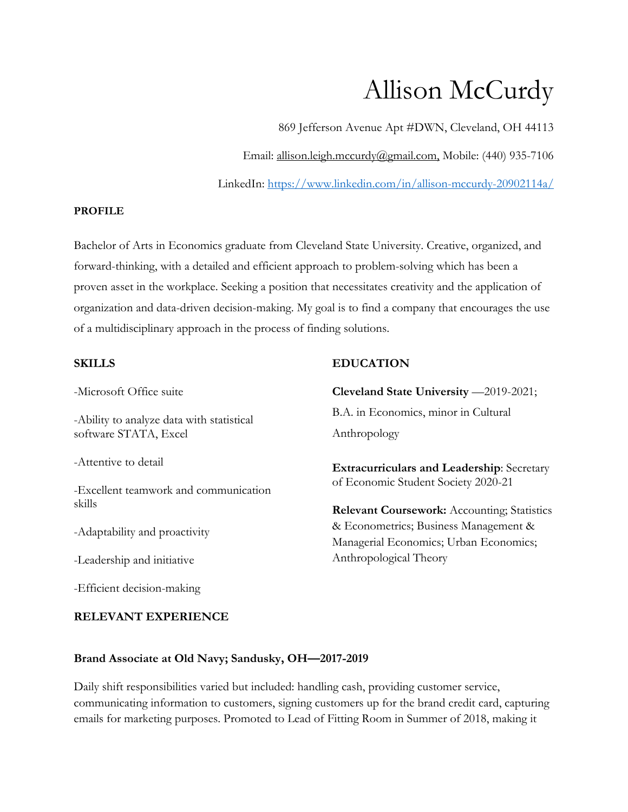# Allison McCurdy

869 Jefferson Avenue Apt #DWN, Cleveland, OH 44113

Email: allison.leigh.mccurdy@gmail.com, Mobile: (440) 935-7106

LinkedIn: https://www.linkedin.com/in/allison-mccurdy-20902114a/

#### **PROFILE**

Bachelor of Arts in Economics graduate from Cleveland State University. Creative, organized, and forward-thinking, with a detailed and efficient approach to problem-solving which has been a proven asset in the workplace. Seeking a position that necessitates creativity and the application of organization and data-driven decision-making. My goal is to find a company that encourages the use of a multidisciplinary approach in the process of finding solutions.

#### **SKILLS**

#### **EDUCATION**

-Microsoft Office suite

-Ability to analyze data with statistical software STATA, Excel

-Attentive to detail

-Excellent teamwork and communication skills

-Adaptability and proactivity

-Leadership and initiative

-Efficient decision-making

#### **RELEVANT EXPERIENCE**

**Cleveland State University** —2019-2021; B.A. in Economics, minor in Cultural Anthropology

**Extracurriculars and Leadership**: Secretary of Economic Student Society 2020-21

**Relevant Coursework:** Accounting; Statistics & Econometrics; Business Management & Managerial Economics; Urban Economics; Anthropological Theory

#### **Brand Associate at Old Navy; Sandusky, OH—2017-2019**

Daily shift responsibilities varied but included: handling cash, providing customer service, communicating information to customers, signing customers up for the brand credit card, capturing emails for marketing purposes. Promoted to Lead of Fitting Room in Summer of 2018, making it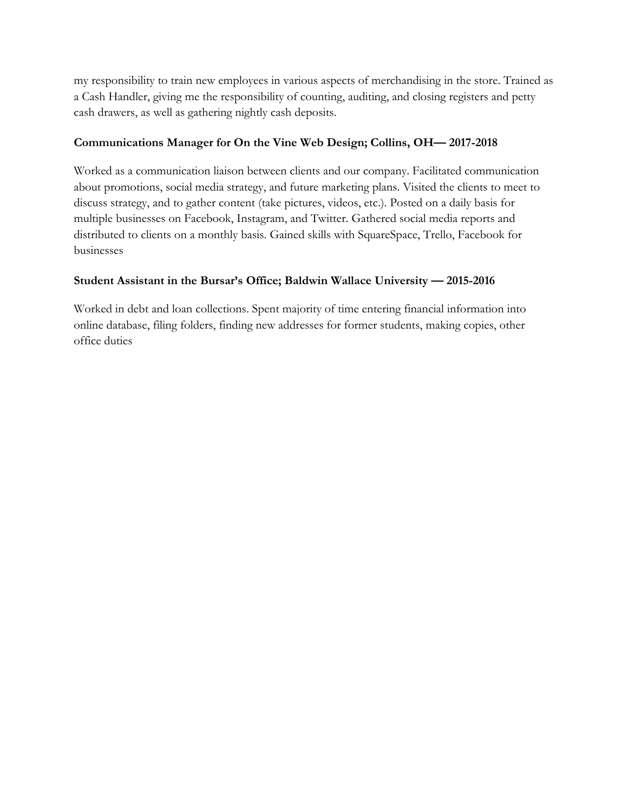my responsibility to train new employees in various aspects of merchandising in the store. Trained as a Cash Handler, giving me the responsibility of counting, auditing, and closing registers and petty cash drawers, as well as gathering nightly cash deposits.

#### **Communications Manager for On the Vine Web Design; Collins, OH— 2017-2018**

Worked as a communication liaison between clients and our company. Facilitated communication about promotions, social media strategy, and future marketing plans. Visited the clients to meet to discuss strategy, and to gather content (take pictures, videos, etc.). Posted on a daily basis for multiple businesses on Facebook, Instagram, and Twitter. Gathered social media reports and distributed to clients on a monthly basis. Gained skills with SquareSpace, Trello, Facebook for businesses

#### **Student Assistant in the Bursar's Office; Baldwin Wallace University — 2015-2016**

Worked in debt and loan collections. Spent majority of time entering financial information into online database, filing folders, finding new addresses for former students, making copies, other office duties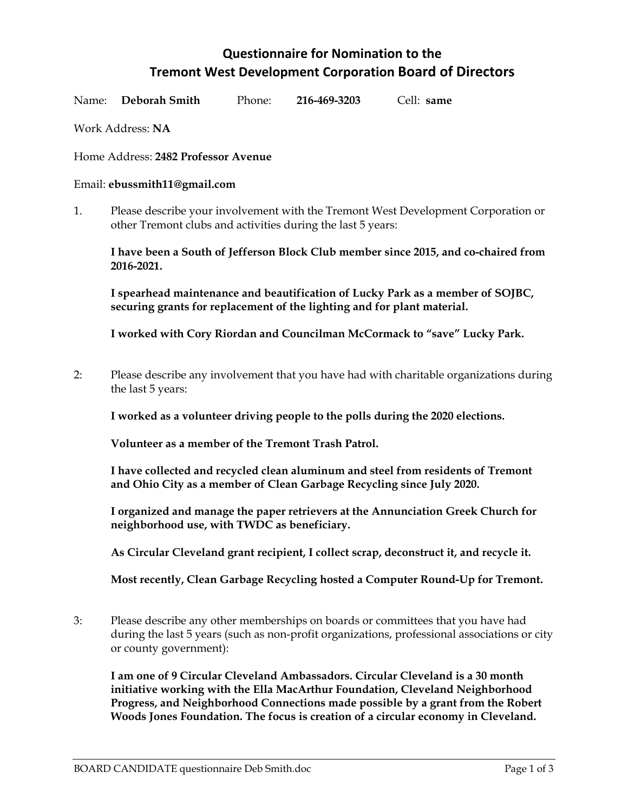## **Questionnaire for Nomination to the Tremont West Development Corporation Board of Directors**

| Name: Deborah Smith | Phone: | 216-469-3203 | Cell: same |
|---------------------|--------|--------------|------------|
|                     |        |              |            |

Work Address: **NA**

Home Address: **2482 Professor Avenue**

#### Email: **ebussmith11@gmail.com**

1. Please describe your involvement with the Tremont West Development Corporation or other Tremont clubs and activities during the last 5 years:

**I have been a South of Jefferson Block Club member since 2015, and co-chaired from 2016-2021.** 

**I spearhead maintenance and beautification of Lucky Park as a member of SOJBC, securing grants for replacement of the lighting and for plant material.** 

**I worked with Cory Riordan and Councilman McCormack to "save" Lucky Park.** 

2: Please describe any involvement that you have had with charitable organizations during the last 5 years:

**I worked as a volunteer driving people to the polls during the 2020 elections.** 

**Volunteer as a member of the Tremont Trash Patrol.** 

**I have collected and recycled clean aluminum and steel from residents of Tremont and Ohio City as a member of Clean Garbage Recycling since July 2020.** 

**I organized and manage the paper retrievers at the Annunciation Greek Church for neighborhood use, with TWDC as beneficiary.** 

**As Circular Cleveland grant recipient, I collect scrap, deconstruct it, and recycle it.** 

**Most recently, Clean Garbage Recycling hosted a Computer Round-Up for Tremont.** 

3: Please describe any other memberships on boards or committees that you have had during the last 5 years (such as non-profit organizations, professional associations or city or county government):

**I am one of 9 Circular Cleveland Ambassadors. Circular Cleveland is a 30 month initiative working with the Ella MacArthur Foundation, Cleveland Neighborhood Progress, and Neighborhood Connections made possible by a grant from the Robert Woods Jones Foundation. The focus is creation of a circular economy in Cleveland.**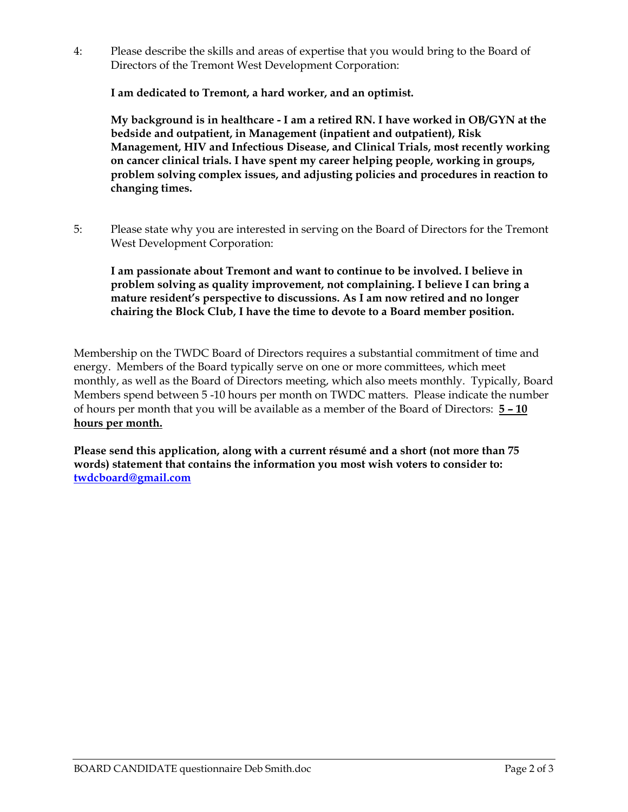4: Please describe the skills and areas of expertise that you would bring to the Board of Directors of the Tremont West Development Corporation:

**I am dedicated to Tremont, a hard worker, and an optimist.** 

**My background is in healthcare - I am a retired RN. I have worked in OB/GYN at the bedside and outpatient, in Management (inpatient and outpatient), Risk Management, HIV and Infectious Disease, and Clinical Trials, most recently working on cancer clinical trials. I have spent my career helping people, working in groups, problem solving complex issues, and adjusting policies and procedures in reaction to changing times.** 

5: Please state why you are interested in serving on the Board of Directors for the Tremont West Development Corporation:

**I am passionate about Tremont and want to continue to be involved. I believe in problem solving as quality improvement, not complaining. I believe I can bring a mature resident's perspective to discussions. As I am now retired and no longer chairing the Block Club, I have the time to devote to a Board member position.** 

Membership on the TWDC Board of Directors requires a substantial commitment of time and energy. Members of the Board typically serve on one or more committees, which meet monthly, as well as the Board of Directors meeting, which also meets monthly. Typically, Board Members spend between 5 -10 hours per month on TWDC matters. Please indicate the number of hours per month that you will be available as a member of the Board of Directors: **5 – 10 hours per month.**

**Please send this application, along with a current résumé and a short (not more than 75 words) statement that contains the information you most wish voters to consider to: twdcboard@gmail.com**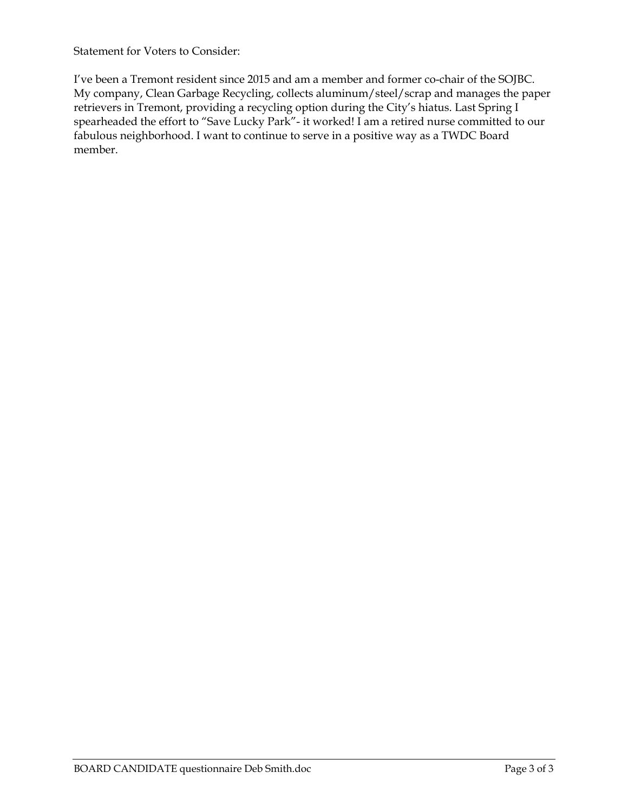Statement for Voters to Consider:

I've been a Tremont resident since 2015 and am a member and former co-chair of the SOJBC. My company, Clean Garbage Recycling, collects aluminum/steel/scrap and manages the paper retrievers in Tremont, providing a recycling option during the City's hiatus. Last Spring I spearheaded the effort to "Save Lucky Park"- it worked! I am a retired nurse committed to our fabulous neighborhood. I want to continue to serve in a positive way as a TWDC Board member.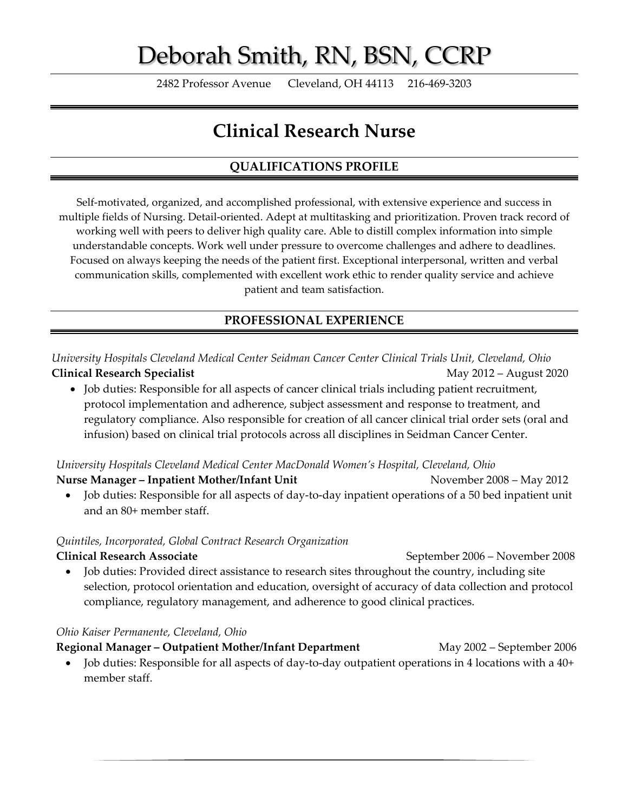# Deborah Smith, RN, BSN, CCRP

2482 Professor Avenue Cleveland, OH 44113 216‐469‐3203

## **Clinical Research Nurse**

## **QUALIFICATIONS PROFILE**

Self-motivated, organized, and accomplished professional, with extensive experience and success in multiple fields of Nursing. Detail‐oriented. Adept at multitasking and prioritization. Proven track record of working well with peers to deliver high quality care. Able to distill complex information into simple understandable concepts. Work well under pressure to overcome challenges and adhere to deadlines. Focused on always keeping the needs of the patient first. Exceptional interpersonal, written and verbal communication skills, complemented with excellent work ethic to render quality service and achieve patient and team satisfaction.

### **PROFESSIONAL EXPERIENCE**

*University Hospitals Cleveland Medical Center Seidman Cancer Center Clinical Trials Unit, Cleveland, Ohio* **Clinical Research Specialist** May 2012 – August 2020

• Job duties: Responsible for all aspects of cancer clinical trials including patient recruitment, protocol implementation and adherence, subject assessment and response to treatment, and regulatory compliance. Also responsible for creation of all cancer clinical trial order sets (oral and infusion) based on clinical trial protocols across all disciplines in Seidman Cancer Center.

*University Hospitals Cleveland Medical Center MacDonald Women's Hospital, Cleveland, Ohio*

**Nurse Manager – Inpatient Mother/Infant Unit** November 2008 – May 2012

 Job duties: Responsible for all aspects of day‐to‐day inpatient operations of a 50 bed inpatient unit and an 80+ member staff.

#### *Quintiles, Incorporated, Global Contract Research Organization*

**Clinical Research Associate** September 2006 – November 2008 Job duties: Provided direct assistance to research sites throughout the country, including site selection, protocol orientation and education, oversight of accuracy of data collection and protocol compliance, regulatory management, and adherence to good clinical practices.

#### *Ohio Kaiser Permanente, Cleveland, Ohio*

**Regional Manager – Outpatient Mother/Infant Department** May 2002 – September 2006

 Job duties: Responsible for all aspects of day‐to‐day outpatient operations in 4 locations with a 40+ member staff.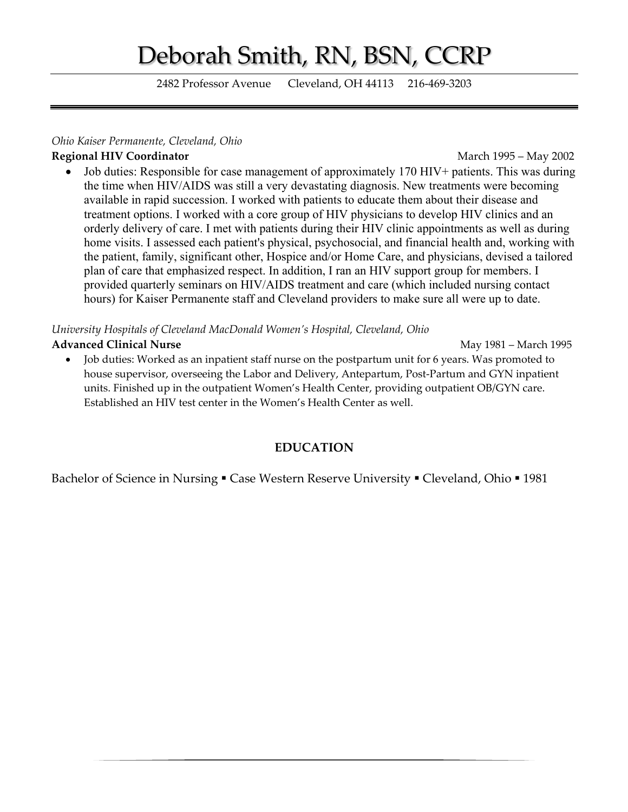# Deborah Smith, RN, BSN, CCRP

2482 Professor Avenue Cleveland, OH 44113 216‐469‐3203

#### *Ohio Kaiser Permanente, Cleveland, Ohio*

#### **Regional HIV Coordinator** March 1995 – May 2002

 Job duties: Responsible for case management of approximately 170 HIV+ patients. This was during the time when HIV/AIDS was still a very devastating diagnosis. New treatments were becoming available in rapid succession. I worked with patients to educate them about their disease and treatment options. I worked with a core group of HIV physicians to develop HIV clinics and an orderly delivery of care. I met with patients during their HIV clinic appointments as well as during home visits. I assessed each patient's physical, psychosocial, and financial health and, working with the patient, family, significant other, Hospice and/or Home Care, and physicians, devised a tailored plan of care that emphasized respect. In addition, I ran an HIV support group for members. I provided quarterly seminars on HIV/AIDS treatment and care (which included nursing contact hours) for Kaiser Permanente staff and Cleveland providers to make sure all were up to date.

#### *University Hospitals of Cleveland MacDonald Women's Hospital, Cleveland, Ohio*

#### **Advanced Clinical Nurse 1995** May 1981 – March 1995

 Job duties: Worked as an inpatient staff nurse on the postpartum unit for 6 years. Was promoted to house supervisor, overseeing the Labor and Delivery, Antepartum, Post-Partum and GYN inpatient units. Finished up in the outpatient Women's Health Center, providing outpatient OB/GYN care. Established an HIV test center in the Women's Health Center as well.

### **EDUCATION**

Bachelor of Science in Nursing • Case Western Reserve University • Cleveland, Ohio • 1981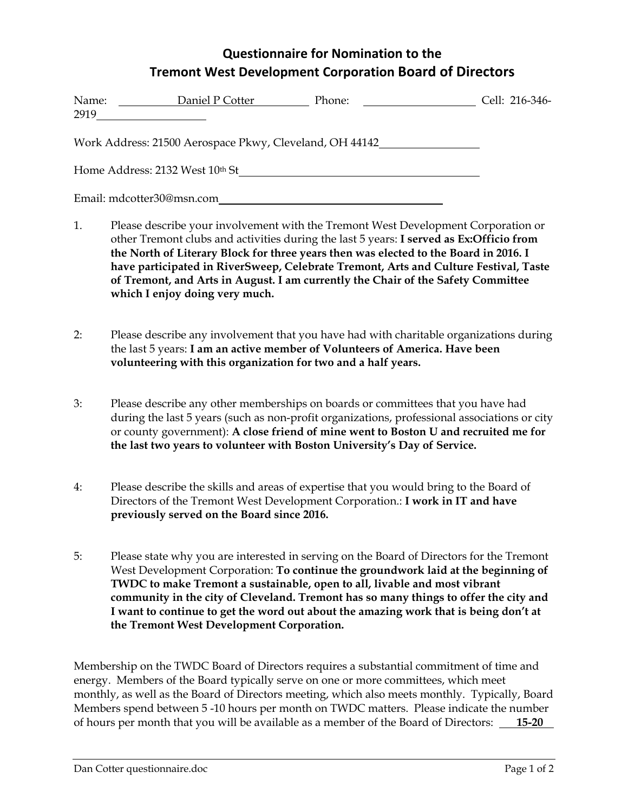## **Questionnaire for Nomination to the Tremont West Development Corporation Board of Directors**

| Name:<br>2919 | Daniel P Cotter                                         | Phone:<br><u> 1990 - Jan Barbara III, prima postala prima prima prima prima prima prima prima prima prima prima prima prim</u> | Cell: 216-346- |
|---------------|---------------------------------------------------------|--------------------------------------------------------------------------------------------------------------------------------|----------------|
|               | Work Address: 21500 Aerospace Pkwy, Cleveland, OH 44142 |                                                                                                                                |                |
|               | Home Address: 2132 West 10th St                         |                                                                                                                                |                |
|               | Email: mdcotter30@msn.com                               |                                                                                                                                |                |

- 1. Please describe your involvement with the Tremont West Development Corporation or other Tremont clubs and activities during the last 5 years: **I served as Ex:Officio from the North of Literary Block for three years then was elected to the Board in 2016. I have participated in RiverSweep, Celebrate Tremont, Arts and Culture Festival, Taste of Tremont, and Arts in August. I am currently the Chair of the Safety Committee which I enjoy doing very much.**
- 2: Please describe any involvement that you have had with charitable organizations during the last 5 years: **I am an active member of Volunteers of America. Have been volunteering with this organization for two and a half years.**
- 3: Please describe any other memberships on boards or committees that you have had during the last 5 years (such as non-profit organizations, professional associations or city or county government): **A close friend of mine went to Boston U and recruited me for the last two years to volunteer with Boston University's Day of Service.**
- 4: Please describe the skills and areas of expertise that you would bring to the Board of Directors of the Tremont West Development Corporation.: **I work in IT and have previously served on the Board since 2016.**
- 5: Please state why you are interested in serving on the Board of Directors for the Tremont West Development Corporation: **To continue the groundwork laid at the beginning of TWDC to make Tremont a sustainable, open to all, livable and most vibrant community in the city of Cleveland. Tremont has so many things to offer the city and I want to continue to get the word out about the amazing work that is being don't at the Tremont West Development Corporation.**

Membership on the TWDC Board of Directors requires a substantial commitment of time and energy. Members of the Board typically serve on one or more committees, which meet monthly, as well as the Board of Directors meeting, which also meets monthly. Typically, Board Members spend between 5 -10 hours per month on TWDC matters. Please indicate the number of hours per month that you will be available as a member of the Board of Directors: **15-20**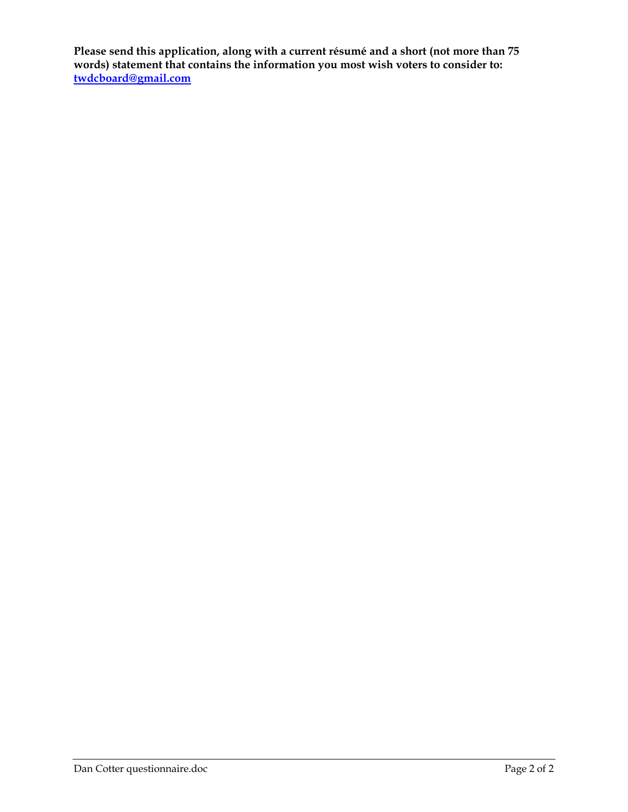**Please send this application, along with a current résumé and a short (not more than 75 words) statement that contains the information you most wish voters to consider to: twdcboard@gmail.com**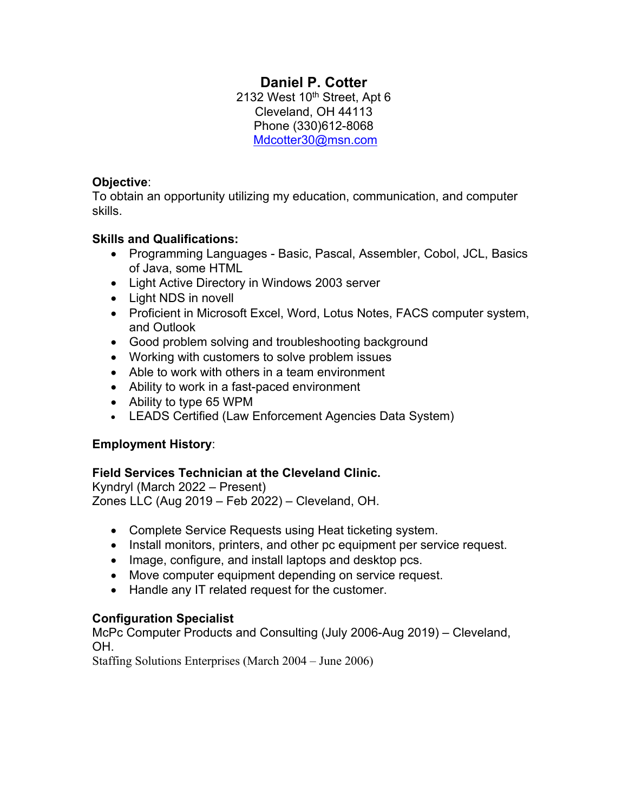## **Daniel P. Cotter**

2132 West  $10^{th}$  Street, Apt  $6$ Cleveland, OH 44113 Phone (330)612-8068 Mdcotter30@msn.com

#### **Objective**:

To obtain an opportunity utilizing my education, communication, and computer skills.

### **Skills and Qualifications:**

- Programming Languages Basic, Pascal, Assembler, Cobol, JCL, Basics of Java, some HTML
- Light Active Directory in Windows 2003 server
- Light NDS in novell
- Proficient in Microsoft Excel, Word, Lotus Notes, FACS computer system, and Outlook
- Good problem solving and troubleshooting background
- Working with customers to solve problem issues
- Able to work with others in a team environment
- Ability to work in a fast-paced environment
- Ability to type 65 WPM
- LEADS Certified (Law Enforcement Agencies Data System)

## **Employment History**:

### **Field Services Technician at the Cleveland Clinic.**

Kyndryl (March 2022 – Present) Zones LLC (Aug 2019 – Feb 2022) – Cleveland, OH.

- Complete Service Requests using Heat ticketing system.
- Install monitors, printers, and other pc equipment per service request.
- Image, configure, and install laptops and desktop pcs.
- Move computer equipment depending on service request.
- Handle any IT related request for the customer.

### **Configuration Specialist**

McPc Computer Products and Consulting (July 2006-Aug 2019) – Cleveland, OH.

Staffing Solutions Enterprises (March 2004 – June 2006)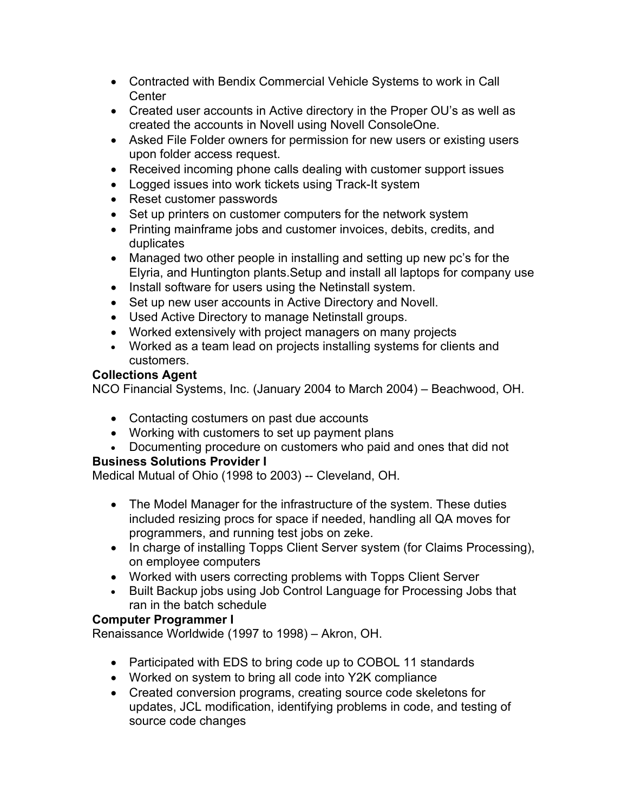- Contracted with Bendix Commercial Vehicle Systems to work in Call **Center**
- Created user accounts in Active directory in the Proper OU's as well as created the accounts in Novell using Novell ConsoleOne.
- Asked File Folder owners for permission for new users or existing users upon folder access request.
- Received incoming phone calls dealing with customer support issues
- Logged issues into work tickets using Track-It system
- Reset customer passwords
- Set up printers on customer computers for the network system
- Printing mainframe jobs and customer invoices, debits, credits, and duplicates
- Managed two other people in installing and setting up new pc's for the Elyria, and Huntington plants.Setup and install all laptops for company use
- Install software for users using the Netinstall system.
- Set up new user accounts in Active Directory and Novell.
- Used Active Directory to manage Netinstall groups.
- Worked extensively with project managers on many projects
- Worked as a team lead on projects installing systems for clients and customers.

### **Collections Agent**

NCO Financial Systems, Inc. (January 2004 to March 2004) – Beachwood, OH.

- Contacting costumers on past due accounts
- Working with customers to set up payment plans
- Documenting procedure on customers who paid and ones that did not

## **Business Solutions Provider I**

Medical Mutual of Ohio (1998 to 2003) -- Cleveland, OH.

- The Model Manager for the infrastructure of the system. These duties included resizing procs for space if needed, handling all QA moves for programmers, and running test jobs on zeke.
- In charge of installing Topps Client Server system (for Claims Processing), on employee computers
- Worked with users correcting problems with Topps Client Server
- Built Backup jobs using Job Control Language for Processing Jobs that ran in the batch schedule

## **Computer Programmer I**

Renaissance Worldwide (1997 to 1998) – Akron, OH.

- Participated with EDS to bring code up to COBOL 11 standards
- Worked on system to bring all code into Y2K compliance
- Created conversion programs, creating source code skeletons for updates, JCL modification, identifying problems in code, and testing of source code changes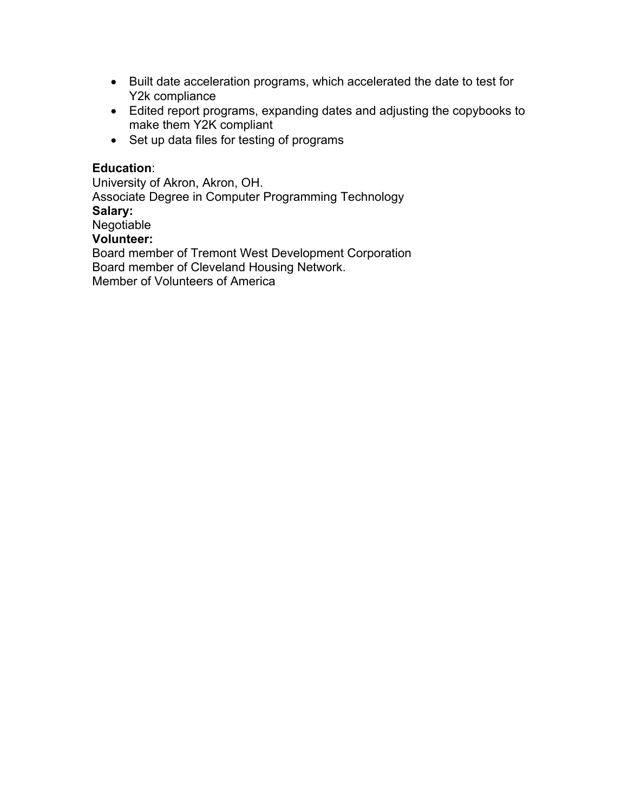- Built date acceleration programs, which accelerated the date to test for Y2k compliance
- Edited report programs, expanding dates and adjusting the copybooks to make them Y2K compliant
- Set up data files for testing of programs

#### **Education**:

University of Akron, Akron, OH. Associate Degree in Computer Programming Technology **Salary:**  Negotiable **Volunteer:**  Board member of Tremont West Development Corporation Board member of Cleveland Housing Network. Member of Volunteers of America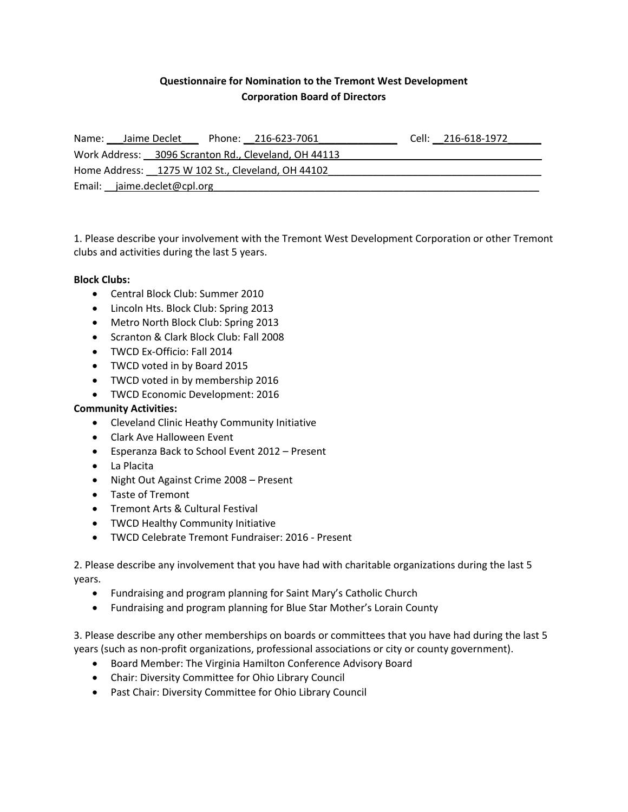#### **Questionnaire for Nomination to the Tremont West Development Corporation Board of Directors**

| Name: Jaime Declet                                | Phone: 216-623-7061                                  | Cell: 216-618-1972 |
|---------------------------------------------------|------------------------------------------------------|--------------------|
|                                                   | Work Address: 3096 Scranton Rd., Cleveland, OH 44113 |                    |
| Home Address: 1275 W 102 St., Cleveland, OH 44102 |                                                      |                    |
| Email: jaime.declet@cpl.org                       |                                                      |                    |

1. Please describe your involvement with the Tremont West Development Corporation or other Tremont clubs and activities during the last 5 years.

#### **Block Clubs:**

- Central Block Club: Summer 2010
- Lincoln Hts. Block Club: Spring 2013
- Metro North Block Club: Spring 2013
- Scranton & Clark Block Club: Fall 2008
- TWCD Ex-Officio: Fall 2014
- TWCD voted in by Board 2015
- TWCD voted in by membership 2016
- TWCD Economic Development: 2016

#### **Community Activities:**

- Cleveland Clinic Heathy Community Initiative
- Clark Ave Halloween Event
- Esperanza Back to School Event 2012 Present
- La Placita
- Night Out Against Crime 2008 Present
- Taste of Tremont
- Tremont Arts & Cultural Festival
- TWCD Healthy Community Initiative
- TWCD Celebrate Tremont Fundraiser: 2016 ‐ Present

2. Please describe any involvement that you have had with charitable organizations during the last 5 years.

- Fundraising and program planning for Saint Mary's Catholic Church
- Fundraising and program planning for Blue Star Mother's Lorain County

3. Please describe any other memberships on boards or committees that you have had during the last 5 years (such as non‐profit organizations, professional associations or city or county government).

- Board Member: The Virginia Hamilton Conference Advisory Board
- Chair: Diversity Committee for Ohio Library Council
- Past Chair: Diversity Committee for Ohio Library Council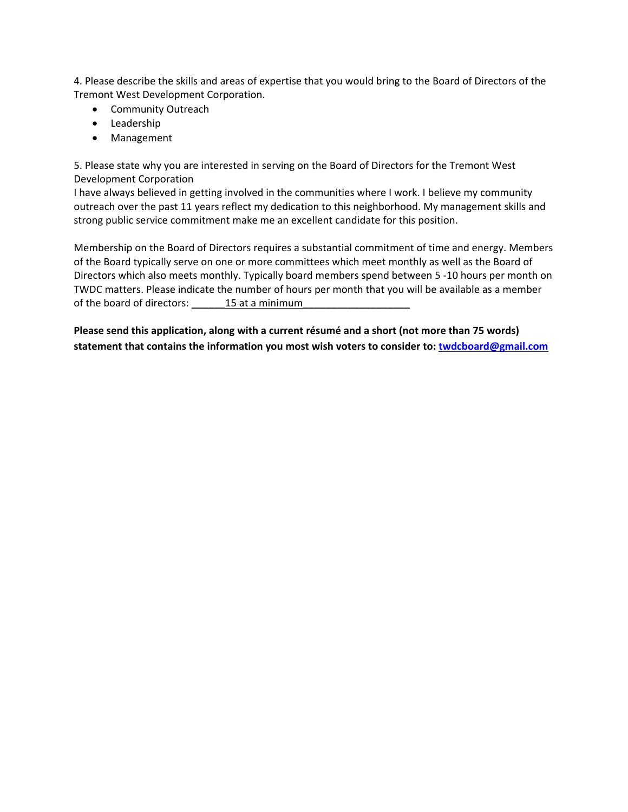4. Please describe the skills and areas of expertise that you would bring to the Board of Directors of the Tremont West Development Corporation.

- Community Outreach
- Leadership
- Management

5. Please state why you are interested in serving on the Board of Directors for the Tremont West Development Corporation

I have always believed in getting involved in the communities where I work. I believe my community outreach over the past 11 years reflect my dedication to this neighborhood. My management skills and strong public service commitment make me an excellent candidate for this position.

Membership on the Board of Directors requires a substantial commitment of time and energy. Members of the Board typically serve on one or more committees which meet monthly as well as the Board of Directors which also meets monthly. Typically board members spend between 5 ‐10 hours per month on TWDC matters. Please indicate the number of hours per month that you will be available as a member of the board of directors: \_\_\_\_\_\_\_\_ 15 at a minimum

**Please send this application, along with a current résumé and a short (not more than 75 words) statement that contains the information you most wish voters to consider to: twdcboard@gmail.com**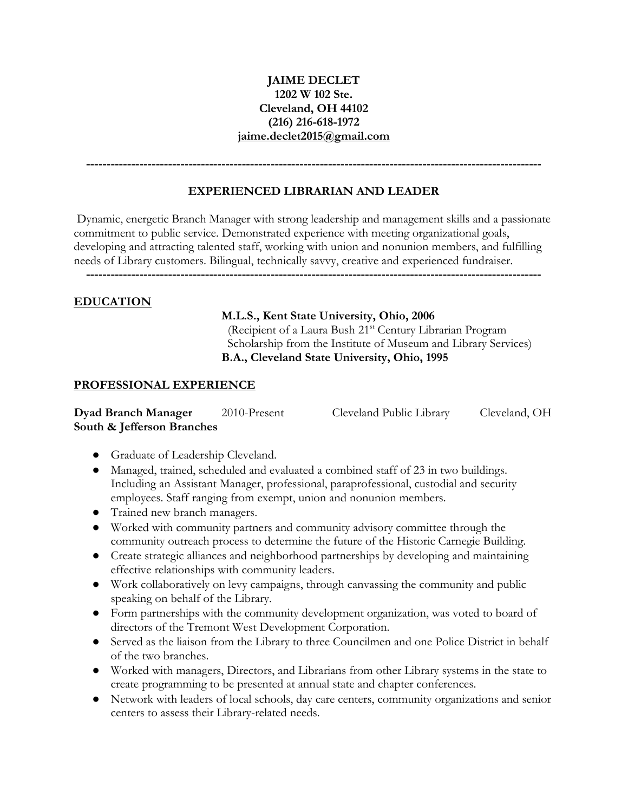#### **JAIME DECLET 1202 W 102 Ste. Cleveland, OH 44102 (216) 216-618-1972 jaime.declet2015@gmail.com**

**---------------------------------------------------------------------------------------------------------------**

#### **EXPERIENCED LIBRARIAN AND LEADER**

Dynamic, energetic Branch Manager with strong leadership and management skills and a passionate commitment to public service. Demonstrated experience with meeting organizational goals, developing and attracting talented staff, working with union and nonunion members, and fulfilling needs of Library customers. Bilingual, technically savvy, creative and experienced fundraiser.

**---------------------------------------------------------------------------------------------------------------** 

#### **EDUCATION**

#### **M.L.S., Kent State University, Ohio, 2006**

(Recipient of a Laura Bush 21<sup>st</sup> Century Librarian Program Scholarship from the Institute of Museum and Library Services) **B.A., Cleveland State University, Ohio, 1995** 

#### **PROFESSIONAL EXPERIENCE**

**Dyad Branch Manager** 2010-Present Cleveland Public Library Cleveland, OH **South & Jefferson Branches** 

- Graduate of Leadership Cleveland.
- Managed, trained, scheduled and evaluated a combined staff of 23 in two buildings. Including an Assistant Manager, professional, paraprofessional, custodial and security employees. Staff ranging from exempt, union and nonunion members.
- Trained new branch managers.
- Worked with community partners and community advisory committee through the community outreach process to determine the future of the Historic Carnegie Building.
- Create strategic alliances and neighborhood partnerships by developing and maintaining effective relationships with community leaders.
- Work collaboratively on levy campaigns, through canvassing the community and public speaking on behalf of the Library.
- Form partnerships with the community development organization, was voted to board of directors of the Tremont West Development Corporation.
- Served as the liaison from the Library to three Councilmen and one Police District in behalf of the two branches.
- Worked with managers, Directors, and Librarians from other Library systems in the state to create programming to be presented at annual state and chapter conferences.
- Network with leaders of local schools, day care centers, community organizations and senior centers to assess their Library-related needs.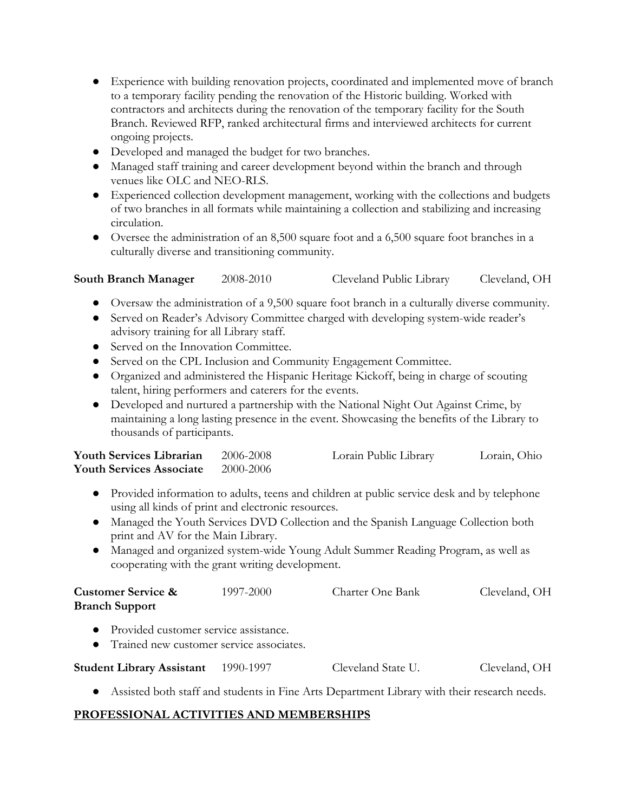- Experience with building renovation projects, coordinated and implemented move of branch to a temporary facility pending the renovation of the Historic building. Worked with contractors and architects during the renovation of the temporary facility for the South Branch. Reviewed RFP, ranked architectural firms and interviewed architects for current ongoing projects.
- Developed and managed the budget for two branches.
- Managed staff training and career development beyond within the branch and through venues like OLC and NEO-RLS.
- Experienced collection development management, working with the collections and budgets of two branches in all formats while maintaining a collection and stabilizing and increasing circulation.
- Oversee the administration of an 8,500 square foot and a 6,500 square foot branches in a culturally diverse and transitioning community.

```
South Branch Manager 2008-2010 Cleveland Public Library Cleveland, OH
```
- Oversaw the administration of a 9,500 square foot branch in a culturally diverse community.
- Served on Reader's Advisory Committee charged with developing system-wide reader's advisory training for all Library staff.
- Served on the Innovation Committee.
- Served on the CPL Inclusion and Community Engagement Committee.
- Organized and administered the Hispanic Heritage Kickoff, being in charge of scouting talent, hiring performers and caterers for the events.
- Developed and nurtured a partnership with the National Night Out Against Crime, by maintaining a long lasting presence in the event. Showcasing the benefits of the Library to thousands of participants.

| <b>Youth Services Librarian</b> | 2006-2008 | Lorain Public Library | Lorain, Ohio |
|---------------------------------|-----------|-----------------------|--------------|
| <b>Youth Services Associate</b> | 2000-2006 |                       |              |

- Provided information to adults, teens and children at public service desk and by telephone using all kinds of print and electronic resources.
- Managed the Youth Services DVD Collection and the Spanish Language Collection both print and AV for the Main Library.
- Managed and organized system-wide Young Adult Summer Reading Program, as well as cooperating with the grant writing development.

| <b>Customer Service &amp;</b> | 1997-2000 | Charter One Bank | Cleveland, OH |
|-------------------------------|-----------|------------------|---------------|
| <b>Branch Support</b>         |           |                  |               |

- Provided customer service assistance.
- Trained new customer service associates.

| <b>Student Library Assistant</b> | 1990-1997 | Cleveland State U. | Cleveland, OH |
|----------------------------------|-----------|--------------------|---------------|
|----------------------------------|-----------|--------------------|---------------|

● Assisted both staff and students in Fine Arts Department Library with their research needs.

#### **PROFESSIONAL ACTIVITIES AND MEMBERSHIPS**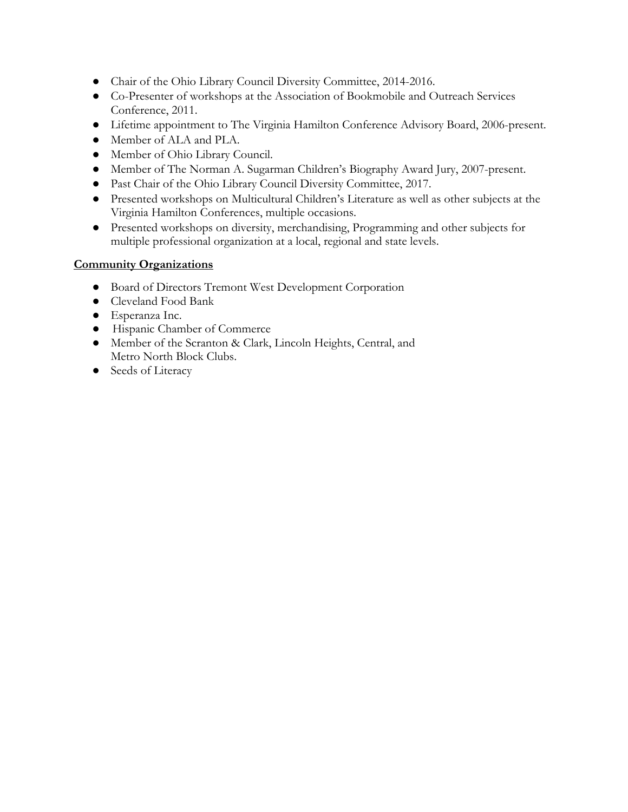- Chair of the Ohio Library Council Diversity Committee, 2014-2016.
- Co-Presenter of workshops at the Association of Bookmobile and Outreach Services Conference, 2011.
- Lifetime appointment to The Virginia Hamilton Conference Advisory Board, 2006-present.
- Member of ALA and PLA.
- Member of Ohio Library Council.
- Member of The Norman A. Sugarman Children's Biography Award Jury, 2007-present.
- Past Chair of the Ohio Library Council Diversity Committee, 2017.
- Presented workshops on Multicultural Children's Literature as well as other subjects at the Virginia Hamilton Conferences, multiple occasions.
- Presented workshops on diversity, merchandising, Programming and other subjects for multiple professional organization at a local, regional and state levels.

#### **Community Organizations**

- Board of Directors Tremont West Development Corporation
- Cleveland Food Bank
- Esperanza Inc.
- Hispanic Chamber of Commerce
- Member of the Scranton & Clark, Lincoln Heights, Central, and Metro North Block Clubs.
- Seeds of Literacy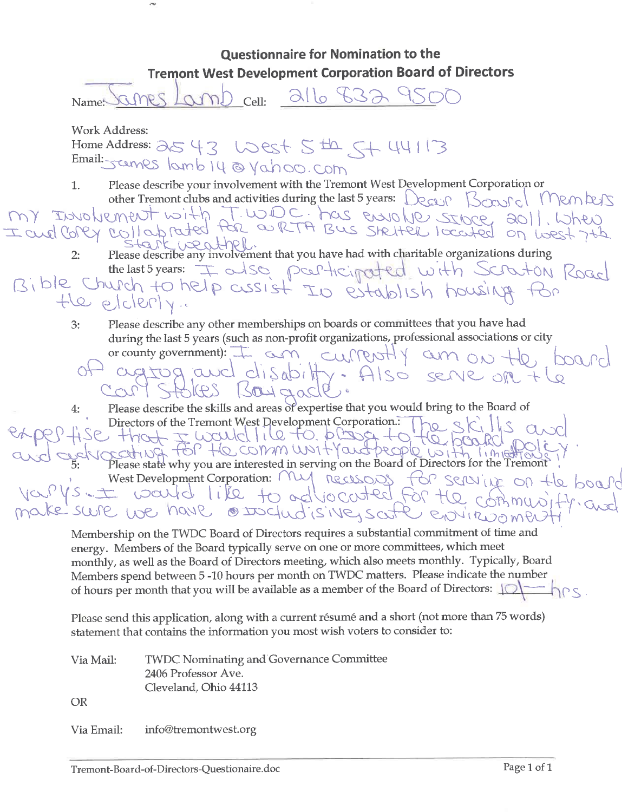**Questionnaire for Nomination to the Tremont West Development Corporation Board of Directors** 216 832 450 am Cell: Name: **Work Address:** Home Address: 2543 West 5th, 544113 Email: James lamb 14 @ Yahoo.com

- Please describe your involvement with the Tremont West Development Corporation or  $\mathbf{1}$ . other Tremont clubs and activities during the last 5 years: Decur Boasic Members
- MY INVOLVEMENT with T.WDC. has envolve store ao11. When  $N^{(0)}$  but Please describe any involvement that you have had with charitable organizations during
	- $2:$ the last 5 years: I also participated with Scraton Road

Bible Church to help cussist I establish housing the elclerly.

> Please describe any other memberships on boards or committees that you have had  $3:$ during the last 5 years (such as non-profit organizations, professional associations or city or county government): I am currently am on the,

DOQ Pr agtog and disabilty. Also serve on 7  $504$  and

Please describe the skills and areas of expertise that you would bring to the Board of 4: Directors of the Tremont West Development Corporation.  $hot \pm fixed$  like to phase to

THE WULLING TO PLUG +0 +0 FO ROLLO PO West Development Corporation: My necessary for serving on the board Vs. ± would like to advocated for the

BOVIRDOMPA Membership on the TWDC Board of Directors requires a substantial commitment of time and energy. Members of the Board typically serve on one or more committees, which meet monthly, as well as the Board of Directors meeting, which also meets monthly. Typically, Board Members spend between 5-10 hours per month on TWDC matters. Please indicate the number of hours per month that you will be available as a member of the Board of Directors: 10

Please send this application, along with a current résumé and a short (not more than 75 words) statement that contains the information you most wish voters to consider to:

| Via Mail:  | <b>TWDC Nominating and Governance Committee</b> |
|------------|-------------------------------------------------|
|            | 2406 Professor Ave.                             |
|            | Cleveland, Ohio 44113                           |
| -OR        |                                                 |
| Via Email: | info@tremontwest.org                            |

sure we have executiones surfe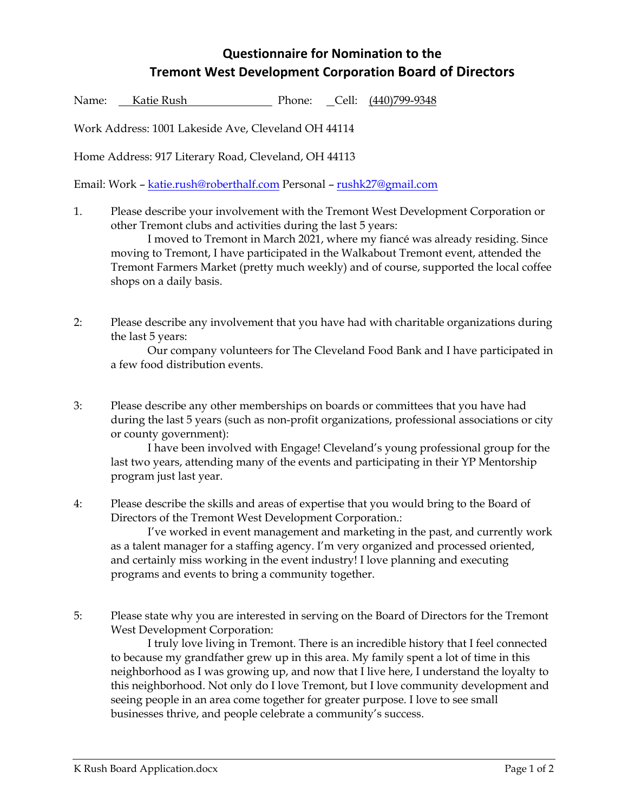## **Questionnaire for Nomination to the Tremont West Development Corporation Board of Directors**

Name: Katie Rush Phone: Cell: (440)799-9348

Work Address: 1001 Lakeside Ave, Cleveland OH 44114

Home Address: 917 Literary Road, Cleveland, OH 44113

Email: Work – katie.rush@roberthalf.com Personal – rushk27@gmail.com

1. Please describe your involvement with the Tremont West Development Corporation or other Tremont clubs and activities during the last 5 years:

 I moved to Tremont in March 2021, where my fiancé was already residing. Since moving to Tremont, I have participated in the Walkabout Tremont event, attended the Tremont Farmers Market (pretty much weekly) and of course, supported the local coffee shops on a daily basis.

2: Please describe any involvement that you have had with charitable organizations during the last 5 years:

Our company volunteers for The Cleveland Food Bank and I have participated in a few food distribution events.

3: Please describe any other memberships on boards or committees that you have had during the last 5 years (such as non-profit organizations, professional associations or city or county government):

 I have been involved with Engage! Cleveland's young professional group for the last two years, attending many of the events and participating in their YP Mentorship program just last year.

4: Please describe the skills and areas of expertise that you would bring to the Board of Directors of the Tremont West Development Corporation.:

 I've worked in event management and marketing in the past, and currently work as a talent manager for a staffing agency. I'm very organized and processed oriented, and certainly miss working in the event industry! I love planning and executing programs and events to bring a community together.

5: Please state why you are interested in serving on the Board of Directors for the Tremont West Development Corporation:

 I truly love living in Tremont. There is an incredible history that I feel connected to because my grandfather grew up in this area. My family spent a lot of time in this neighborhood as I was growing up, and now that I live here, I understand the loyalty to this neighborhood. Not only do I love Tremont, but I love community development and seeing people in an area come together for greater purpose. I love to see small businesses thrive, and people celebrate a community's success.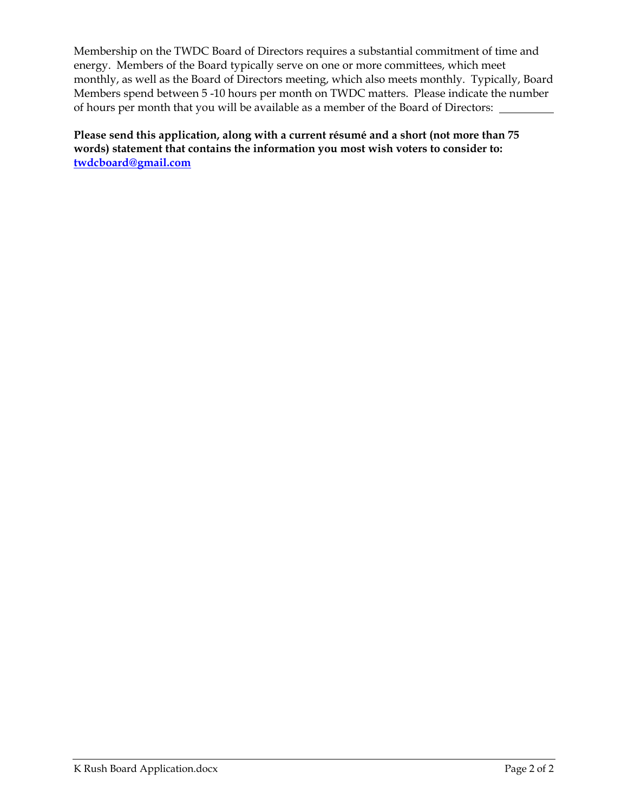Membership on the TWDC Board of Directors requires a substantial commitment of time and energy. Members of the Board typically serve on one or more committees, which meet monthly, as well as the Board of Directors meeting, which also meets monthly. Typically, Board Members spend between 5 -10 hours per month on TWDC matters. Please indicate the number of hours per month that you will be available as a member of the Board of Directors:

**Please send this application, along with a current résumé and a short (not more than 75 words) statement that contains the information you most wish voters to consider to: twdcboard@gmail.com**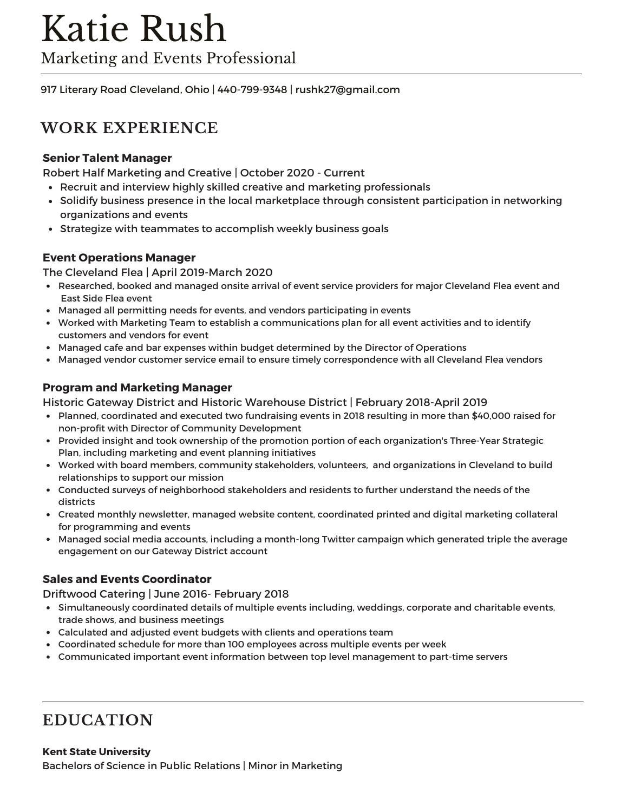917 Literary Road Cleveland, Ohio | 440-799-9348 | rushk27@gmail.com

## **WORK EXPERIENCE**

#### **Senior Talent Manager**

Robert Half Marketing and Creative | October 2020 - Current

- Recruit and interview highly skilled creative and marketing professionals
- Solidify business presence in the local marketplace through consistent participation in networking organizations and events
- Strategize with teammates to accomplish weekly business goals

#### **Event Operations Manager**

The Cleveland Flea | April 2019-March 2020

- Researched, booked and managed onsite arrival of event service providers for major Cleveland Flea event and East Side Flea event
- Managed all permitting needs for events, and vendors participating in events
- Worked with Marketing Team to establish a communications plan for all event activities and to identify customers and vendors for event
- Managed cafe and bar expenses within budget determined by the Director of Operations
- Managed vendor customer service email to ensure timely correspondence with all Cleveland Flea vendors

#### **Program and Marketing Manager**

Historic Gateway District and Historic Warehouse District | February 2018-April 2019

- Planned, coordinated and executed two fundraising events in 2018 resulting in more than \$40,000 raised for non-profit with Director of Community Development
- Provided insight and took ownership of the promotion portion of each organization's Three-Year Strategic Plan, including marketing and event planning initiatives
- Worked with board members, community stakeholders, volunteers, and organizations in Cleveland to build relationships to support our mission
- Conducted surveys of neighborhood stakeholders and residents to further understand the needs of the districts
- Created monthly newsletter, managed website content, coordinated printed and digital marketing collateral for programming and events
- Managed social media accounts, including a month-long Twitter campaign which generated triple the average engagement on our Gateway District account

#### **Sales and Events Coordinator**

Driftwood Catering | June 2016- February 2018

- Simultaneously coordinated details of multiple events including, weddings, corporate and charitable events, trade shows, and business meetings
- Calculated and adjusted event budgets with clients and operations team
- Coordinated schedule for more than 100 employees across multiple events per week
- Communicated important event information between top level management to part-time servers

## **EDUCATION**

#### **Kent State University**

Bachelors of Science in Public Relations | Minor in Marketing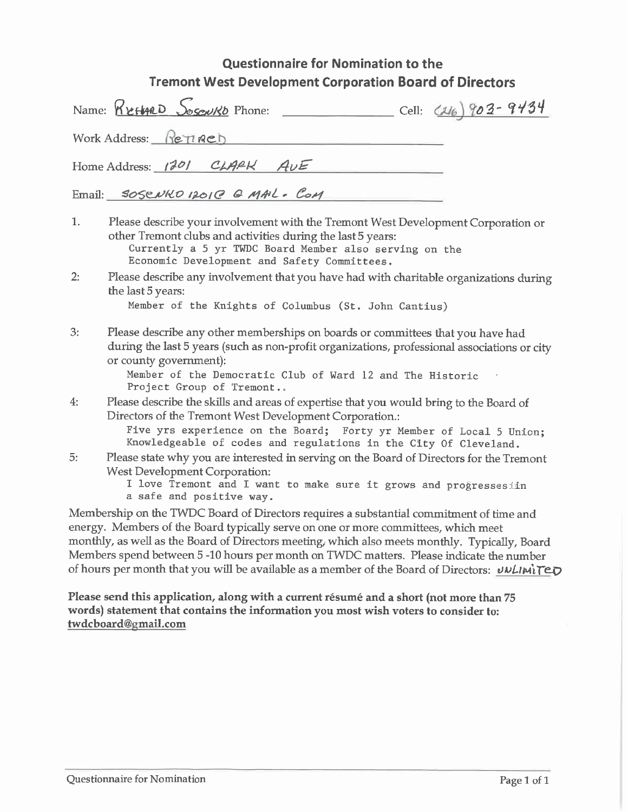## Questionnaire for Nomination to the **Tremont West Development Corporation Board of Directors**

| Cell: (216) 903-9434<br>Name: <u>Reffac</u> D Sosowkb Phone:                                                                                                                                                                                                                                             |
|----------------------------------------------------------------------------------------------------------------------------------------------------------------------------------------------------------------------------------------------------------------------------------------------------------|
| Work Address: ReTRED                                                                                                                                                                                                                                                                                     |
| Home Address: 1201 CLARK AUE                                                                                                                                                                                                                                                                             |
| Email: SOSENKO 12010 G MAL. COM                                                                                                                                                                                                                                                                          |
| 1.<br>Please describe your involvement with the Tremont West Development Corporation or<br>other Tremont clubs and activities during the last 5 years:<br>Currently a 5 yr TWDC Board Member also serving on the<br>Economic Development and Safety Committees.                                          |
| 2:<br>Please describe any involvement that you have had with charitable organizations during<br>the last 5 years:<br>Member of the Knights of Columbus (St. John Cantius)                                                                                                                                |
| 3:<br>Please describe any other memberships on boards or committees that you have had<br>during the last 5 years (such as non-profit organizations, professional associations or city<br>or county government):<br>Member of the Democratic Club of Ward 12 and The Historic<br>Project Group of Tremont |
| 4:<br>Please describe the skills and areas of expertise that you would bring to the Board of<br>Directors of the Tremont West Development Corporation.:<br>Five yrs experience on the Board; Forty yr Member of Local 5 Union;<br>Knowledgeable of codes and regulations in the City Of Cleveland.       |
| 5:<br>Please state why you are interested in serving on the Board of Directors for the Tremont<br>West Development Corporation:<br>I love Tremont and I want to make sure it grows and progressesiin<br>a safe and positive way.                                                                         |
| Membership on the TWDC Board of Directors requires a substantial commitment of time and                                                                                                                                                                                                                  |

energy. Members of the Board typically serve on one or more committees, which meet monthly, as well as the Board of Directors meeting, which also meets monthly. Typically, Board Members spend between 5-10 hours per month on TWDC matters. Please indicate the number of hours per month that you will be available as a member of the Board of Directors: UNLIMITED

Please send this application, along with a current résumé and a short (not more than 75 words) statement that contains the information you most wish voters to consider to: twdcboard@gmail.com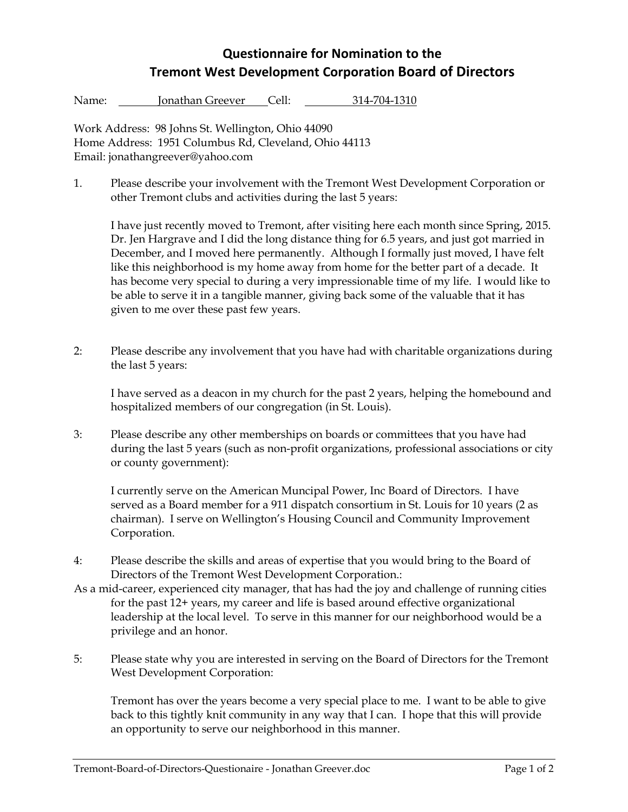## **Questionnaire for Nomination to the Tremont West Development Corporation Board of Directors**

Name: Jonathan Greever Cell: 314-704-1310

Work Address: 98 Johns St. Wellington, Ohio 44090 Home Address: 1951 Columbus Rd, Cleveland, Ohio 44113 Email: jonathangreever@yahoo.com

1. Please describe your involvement with the Tremont West Development Corporation or other Tremont clubs and activities during the last 5 years:

I have just recently moved to Tremont, after visiting here each month since Spring, 2015. Dr. Jen Hargrave and I did the long distance thing for 6.5 years, and just got married in December, and I moved here permanently. Although I formally just moved, I have felt like this neighborhood is my home away from home for the better part of a decade. It has become very special to during a very impressionable time of my life. I would like to be able to serve it in a tangible manner, giving back some of the valuable that it has given to me over these past few years.

2: Please describe any involvement that you have had with charitable organizations during the last 5 years:

 I have served as a deacon in my church for the past 2 years, helping the homebound and hospitalized members of our congregation (in St. Louis).

3: Please describe any other memberships on boards or committees that you have had during the last 5 years (such as non-profit organizations, professional associations or city or county government):

 I currently serve on the American Muncipal Power, Inc Board of Directors. I have served as a Board member for a 911 dispatch consortium in St. Louis for 10 years (2 as chairman). I serve on Wellington's Housing Council and Community Improvement Corporation.

- 4: Please describe the skills and areas of expertise that you would bring to the Board of Directors of the Tremont West Development Corporation.:
- As a mid-career, experienced city manager, that has had the joy and challenge of running cities for the past 12+ years, my career and life is based around effective organizational leadership at the local level. To serve in this manner for our neighborhood would be a privilege and an honor.
- 5: Please state why you are interested in serving on the Board of Directors for the Tremont West Development Corporation:

 Tremont has over the years become a very special place to me. I want to be able to give back to this tightly knit community in any way that I can. I hope that this will provide an opportunity to serve our neighborhood in this manner.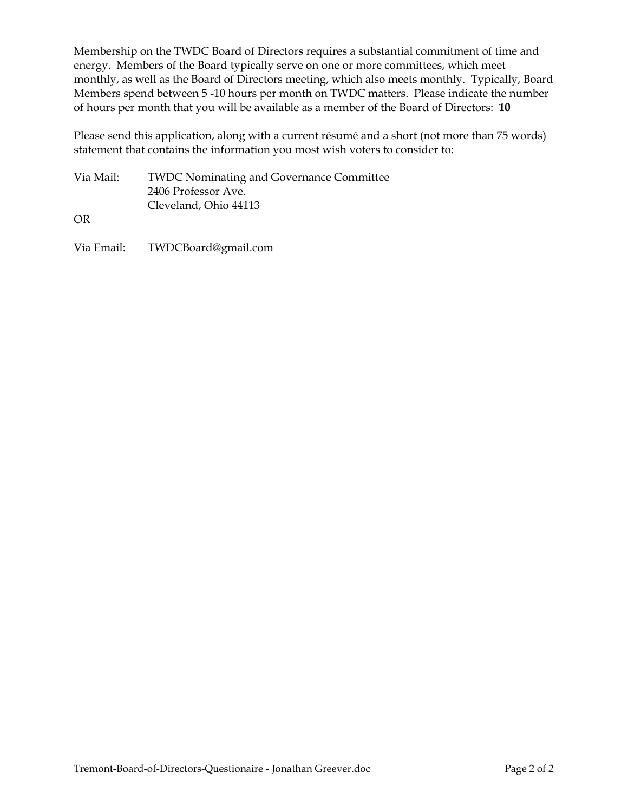Membership on the TWDC Board of Directors requires a substantial commitment of time and energy. Members of the Board typically serve on one or more committees, which meet monthly, as well as the Board of Directors meeting, which also meets monthly. Typically, Board Members spend between 5 -10 hours per month on TWDC matters. Please indicate the number of hours per month that you will be available as a member of the Board of Directors: **10**

Please send this application, along with a current résumé and a short (not more than 75 words) statement that contains the information you most wish voters to consider to:

| Via Mail: | <b>TWDC Nominating and Governance Committee</b> |
|-----------|-------------------------------------------------|
|           | 2406 Professor Ave.                             |
|           | Cleveland, Ohio 44113                           |

OR

Via Email: TWDCBoard@gmail.com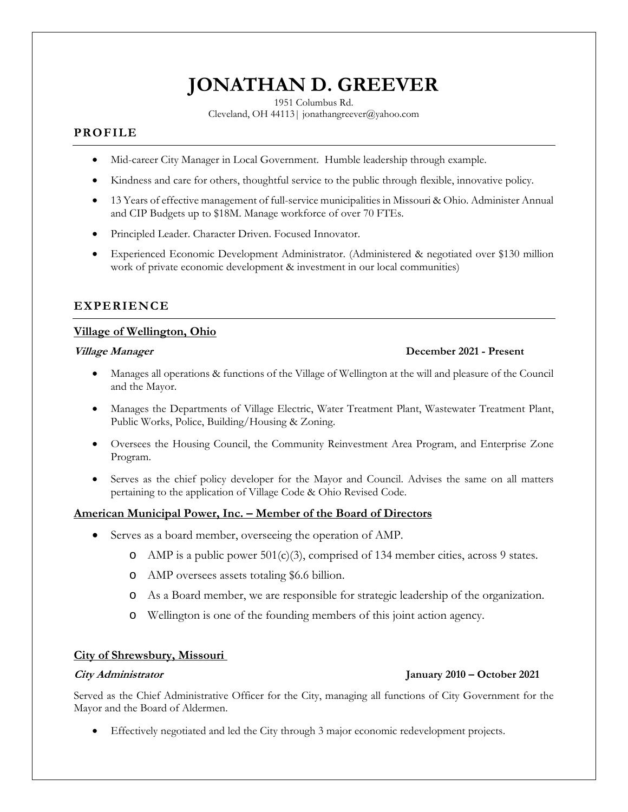## **JONATHAN D. GREEVER**

1951 Columbus Rd.

Cleveland, OH 44113| jonathangreever@yahoo.com

#### **PROFILE**

- Mid-career City Manager in Local Government. Humble leadership through example.
- Kindness and care for others, thoughtful service to the public through flexible, innovative policy.
- 13 Years of effective management of full-service municipalities in Missouri & Ohio. Administer Annual and CIP Budgets up to \$18M. Manage workforce of over 70 FTEs.
- Principled Leader. Character Driven. Focused Innovator.
- Experienced Economic Development Administrator. (Administered & negotiated over \$130 million work of private economic development & investment in our local communities)

#### **EXPERIENCE**

#### **Village of Wellington, Ohio**

#### **Village Manager December 2021 - Present**

- Manages all operations & functions of the Village of Wellington at the will and pleasure of the Council and the Mayor.
- Manages the Departments of Village Electric, Water Treatment Plant, Wastewater Treatment Plant, Public Works, Police, Building/Housing & Zoning.
- Oversees the Housing Council, the Community Reinvestment Area Program, and Enterprise Zone Program.
- Serves as the chief policy developer for the Mayor and Council. Advises the same on all matters pertaining to the application of Village Code & Ohio Revised Code.

#### **American Municipal Power, Inc. – Member of the Board of Directors**

- Serves as a board member, overseeing the operation of AMP.
	- o AMP is a public power  $501(c)(3)$ , comprised of 134 member cities, across 9 states.
	- o AMP oversees assets totaling \$6.6 billion.
	- o As a Board member, we are responsible for strategic leadership of the organization.
	- o Wellington is one of the founding members of this joint action agency.

#### **City of Shrewsbury, Missouri**

#### **City Administrator January 2010 – October 2021**

Served as the Chief Administrative Officer for the City, managing all functions of City Government for the Mayor and the Board of Aldermen.

Effectively negotiated and led the City through 3 major economic redevelopment projects.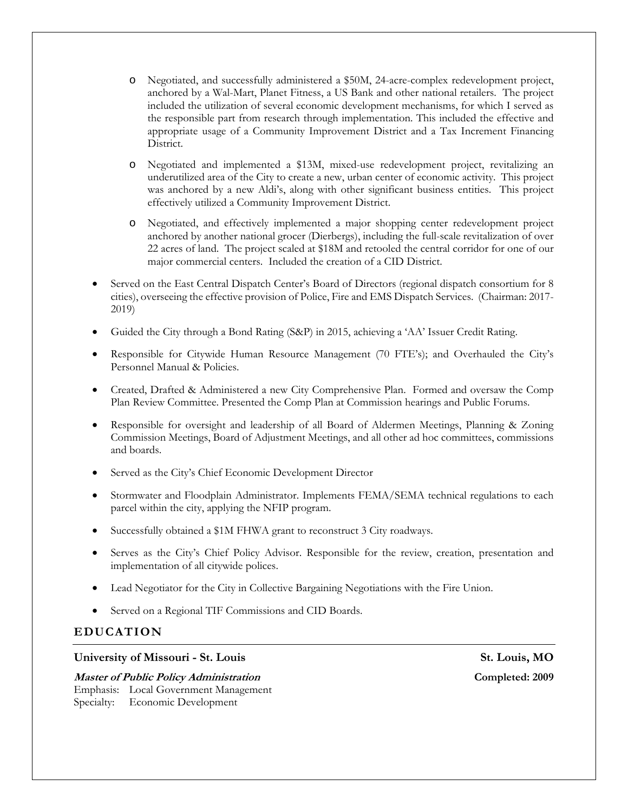- o Negotiated, and successfully administered a \$50M, 24-acre-complex redevelopment project, anchored by a Wal-Mart, Planet Fitness, a US Bank and other national retailers. The project included the utilization of several economic development mechanisms, for which I served as the responsible part from research through implementation. This included the effective and appropriate usage of a Community Improvement District and a Tax Increment Financing District.
- o Negotiated and implemented a \$13M, mixed-use redevelopment project, revitalizing an underutilized area of the City to create a new, urban center of economic activity. This project was anchored by a new Aldi's, along with other significant business entities. This project effectively utilized a Community Improvement District.
- o Negotiated, and effectively implemented a major shopping center redevelopment project anchored by another national grocer (Dierbergs), including the full-scale revitalization of over 22 acres of land. The project scaled at \$18M and retooled the central corridor for one of our major commercial centers. Included the creation of a CID District.
- Served on the East Central Dispatch Center's Board of Directors (regional dispatch consortium for 8 cities), overseeing the effective provision of Police, Fire and EMS Dispatch Services. (Chairman: 2017- 2019)
- Guided the City through a Bond Rating (S&P) in 2015, achieving a 'AA' Issuer Credit Rating.
- Responsible for Citywide Human Resource Management (70 FTE's); and Overhauled the City's Personnel Manual & Policies.
- Created, Drafted & Administered a new City Comprehensive Plan. Formed and oversaw the Comp Plan Review Committee. Presented the Comp Plan at Commission hearings and Public Forums.
- Responsible for oversight and leadership of all Board of Aldermen Meetings, Planning & Zoning Commission Meetings, Board of Adjustment Meetings, and all other ad hoc committees, commissions and boards.
- Served as the City's Chief Economic Development Director
- Stormwater and Floodplain Administrator. Implements FEMA/SEMA technical regulations to each parcel within the city, applying the NFIP program.
- Successfully obtained a \$1M FHWA grant to reconstruct 3 City roadways.
- Serves as the City's Chief Policy Advisor. Responsible for the review, creation, presentation and implementation of all citywide polices.
- Lead Negotiator for the City in Collective Bargaining Negotiations with the Fire Union.
- Served on a Regional TIF Commissions and CID Boards.

### **EDUCATION**

#### University of Missouri - St. Louis **St. Louis, MO**

**Master of Public Policy Administration Completed: 2009**  Emphasis: Local Government Management Specialty: Economic Development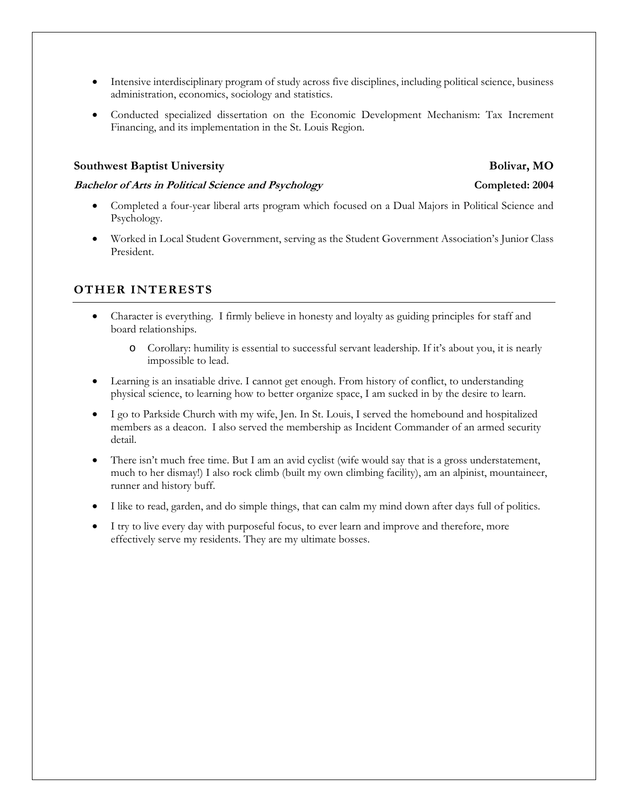- Intensive interdisciplinary program of study across five disciplines, including political science, business administration, economics, sociology and statistics.
- Conducted specialized dissertation on the Economic Development Mechanism: Tax Increment Financing, and its implementation in the St. Louis Region.

#### **Southwest Baptist University Bolivar, MO**

#### **Bachelor of Arts in Political Science and Psychology Completed: 2004**

- Completed a four-year liberal arts program which focused on a Dual Majors in Political Science and Psychology.
- Worked in Local Student Government, serving as the Student Government Association's Junior Class President.

#### **OTHER INTERESTS**

- Character is everything. I firmly believe in honesty and loyalty as guiding principles for staff and board relationships.
	- o Corollary: humility is essential to successful servant leadership. If it's about you, it is nearly impossible to lead.
- Learning is an insatiable drive. I cannot get enough. From history of conflict, to understanding physical science, to learning how to better organize space, I am sucked in by the desire to learn.
- I go to Parkside Church with my wife, Jen. In St. Louis, I served the homebound and hospitalized members as a deacon. I also served the membership as Incident Commander of an armed security detail.
- There isn't much free time. But I am an avid cyclist (wife would say that is a gross understatement, much to her dismay!) I also rock climb (built my own climbing facility), am an alpinist, mountaineer, runner and history buff.
- I like to read, garden, and do simple things, that can calm my mind down after days full of politics.
- I try to live every day with purposeful focus, to ever learn and improve and therefore, more effectively serve my residents. They are my ultimate bosses.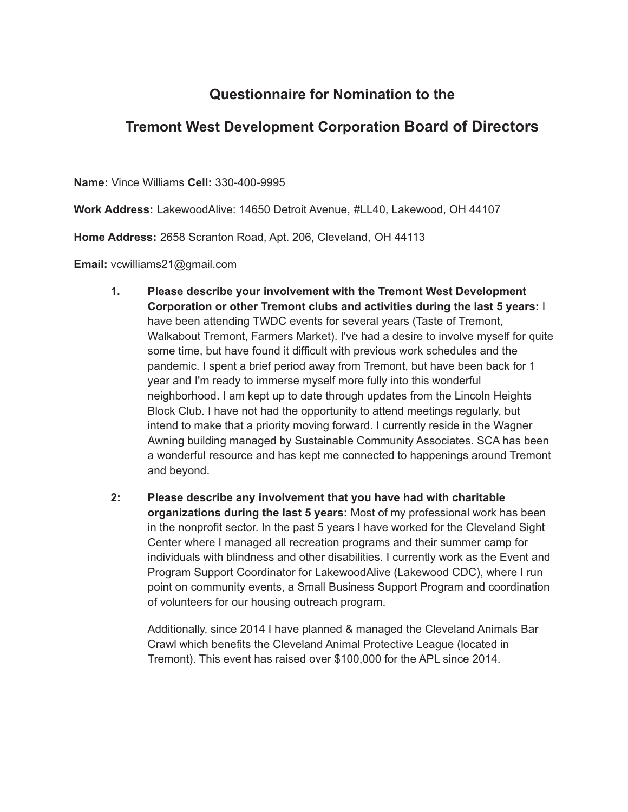## **Questionnaire for Nomination to the**

## **Tremont West Development Corporation Board of Directors**

**Name:** Vince Williams **Cell:** 330-400-9995

**Work Address:** LakewoodAlive: 14650 Detroit Avenue, #LL40, Lakewood, OH 44107

**Home Address:** 2658 Scranton Road, Apt. 206, Cleveland, OH 44113

**Email:** vcwilliams21@gmail.com

- **1. Please describe your involvement with the Tremont West Development Corporation or other Tremont clubs and activities during the last 5 years:** I have been attending TWDC events for several years (Taste of Tremont, Walkabout Tremont, Farmers Market). I've had a desire to involve myself for quite some time, but have found it difficult with previous work schedules and the pandemic. I spent a brief period away from Tremont, but have been back for 1 year and I'm ready to immerse myself more fully into this wonderful neighborhood. I am kept up to date through updates from the Lincoln Heights Block Club. I have not had the opportunity to attend meetings regularly, but intend to make that a priority moving forward. I currently reside in the Wagner Awning building managed by Sustainable Community Associates. SCA has been a wonderful resource and has kept me connected to happenings around Tremont and beyond.
- **2: Please describe any involvement that you have had with charitable organizations during the last 5 years:** Most of my professional work has been in the nonprofit sector. In the past 5 years I have worked for the Cleveland Sight Center where I managed all recreation programs and their summer camp for individuals with blindness and other disabilities. I currently work as the Event and Program Support Coordinator for LakewoodAlive (Lakewood CDC), where I run point on community events, a Small Business Support Program and coordination of volunteers for our housing outreach program.

Additionally, since 2014 I have planned & managed the Cleveland Animals Bar Crawl which benefits the Cleveland Animal Protective League (located in Tremont). This event has raised over \$100,000 for the APL since 2014.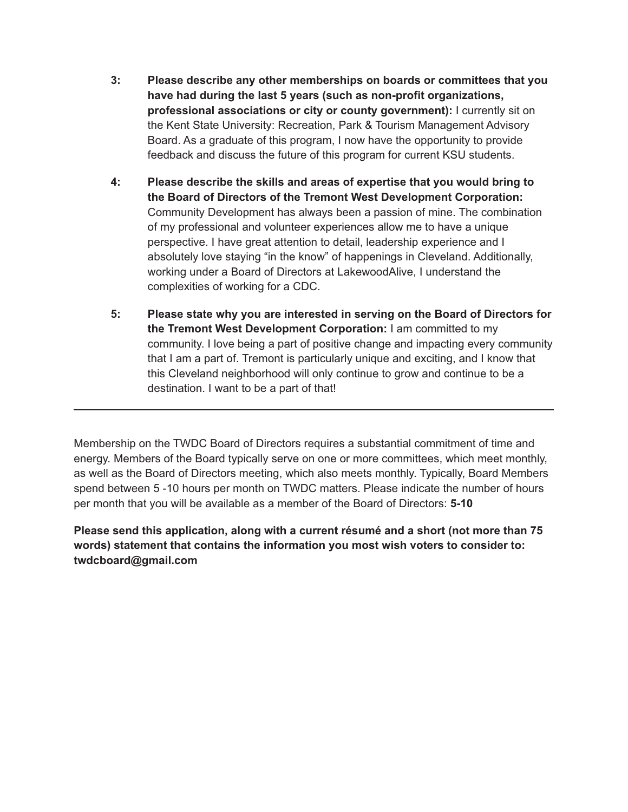- **3: Please describe any other memberships on boards or committees that you have had during the last 5 years (such as non-profit organizations, professional associations or city or county government):** I currently sit on the Kent State University: Recreation, Park & Tourism Management Advisory Board. As a graduate of this program, I now have the opportunity to provide feedback and discuss the future of this program for current KSU students.
- **4: Please describe the skills and areas of expertise that you would bring to the Board of Directors of the Tremont West Development Corporation:** Community Development has always been a passion of mine. The combination of my professional and volunteer experiences allow me to have a unique perspective. I have great attention to detail, leadership experience and I absolutely love staying "in the know" of happenings in Cleveland. Additionally, working under a Board of Directors at LakewoodAlive, I understand the complexities of working for a CDC.
- **5: Please state why you are interested in serving on the Board of Directors for the Tremont West Development Corporation:** I am committed to my community. I love being a part of positive change and impacting every community that I am a part of. Tremont is particularly unique and exciting, and I know that this Cleveland neighborhood will only continue to grow and continue to be a destination. I want to be a part of that!

Membership on the TWDC Board of Directors requires a substantial commitment of time and energy. Members of the Board typically serve on one or more committees, which meet monthly, as well as the Board of Directors meeting, which also meets monthly. Typically, Board Members spend between 5 -10 hours per month on TWDC matters. Please indicate the number of hours per month that you will be available as a member of the Board of Directors: **5-10**

**Please send this application, along with a current résumé and a short (not more than 75 words) statement that contains the information you most wish voters to consider to: twdcboard@gmail.com**